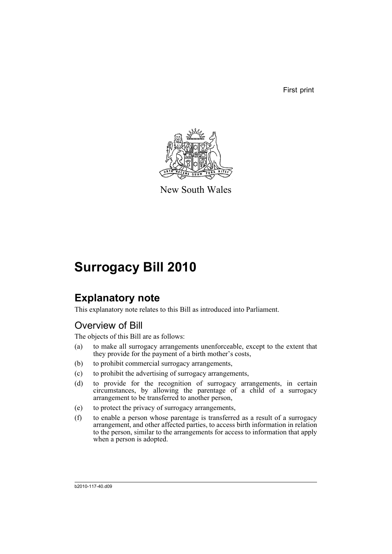First print



New South Wales

# **Surrogacy Bill 2010**

## **Explanatory note**

This explanatory note relates to this Bill as introduced into Parliament.

## Overview of Bill

The objects of this Bill are as follows:

- (a) to make all surrogacy arrangements unenforceable, except to the extent that they provide for the payment of a birth mother's costs,
- (b) to prohibit commercial surrogacy arrangements,
- (c) to prohibit the advertising of surrogacy arrangements,
- (d) to provide for the recognition of surrogacy arrangements, in certain circumstances, by allowing the parentage of a child of a surrogacy arrangement to be transferred to another person,
- (e) to protect the privacy of surrogacy arrangements,
- (f) to enable a person whose parentage is transferred as a result of a surrogacy arrangement, and other affected parties, to access birth information in relation to the person, similar to the arrangements for access to information that apply when a person is adopted.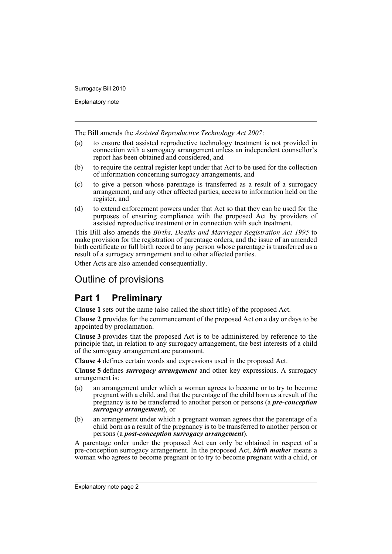Explanatory note

The Bill amends the *Assisted Reproductive Technology Act 2007*:

- (a) to ensure that assisted reproductive technology treatment is not provided in connection with a surrogacy arrangement unless an independent counsellor's report has been obtained and considered, and
- (b) to require the central register kept under that Act to be used for the collection of information concerning surrogacy arrangements, and
- (c) to give a person whose parentage is transferred as a result of a surrogacy arrangement, and any other affected parties, access to information held on the register, and
- (d) to extend enforcement powers under that Act so that they can be used for the purposes of ensuring compliance with the proposed Act by providers of assisted reproductive treatment or in connection with such treatment.

This Bill also amends the *Births, Deaths and Marriages Registration Act 1995* to make provision for the registration of parentage orders, and the issue of an amended birth certificate or full birth record to any person whose parentage is transferred as a result of a surrogacy arrangement and to other affected parties.

Other Acts are also amended consequentially.

## Outline of provisions

## **Part 1 Preliminary**

**Clause 1** sets out the name (also called the short title) of the proposed Act.

**Clause 2** provides for the commencement of the proposed Act on a day or days to be appointed by proclamation.

**Clause 3** provides that the proposed Act is to be administered by reference to the principle that, in relation to any surrogacy arrangement, the best interests of a child of the surrogacy arrangement are paramount.

**Clause 4** defines certain words and expressions used in the proposed Act.

**Clause 5** defines *surrogacy arrangement* and other key expressions. A surrogacy arrangement is:

- (a) an arrangement under which a woman agrees to become or to try to become pregnant with a child, and that the parentage of the child born as a result of the pregnancy is to be transferred to another person or persons (a *pre-conception surrogacy arrangement*), or
- (b) an arrangement under which a pregnant woman agrees that the parentage of a child born as a result of the pregnancy is to be transferred to another person or persons (a *post-conception surrogacy arrangement*).

A parentage order under the proposed Act can only be obtained in respect of a pre-conception surrogacy arrangement. In the proposed Act, *birth mother* means a woman who agrees to become pregnant or to try to become pregnant with a child, or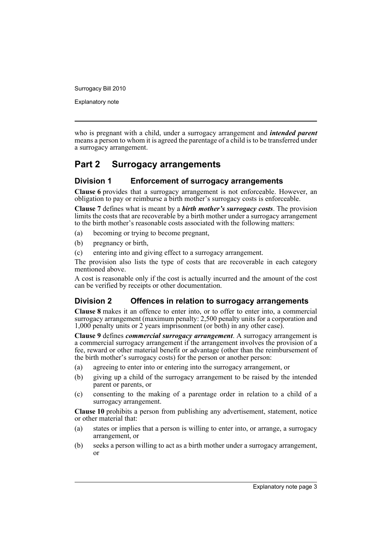Explanatory note

who is pregnant with a child, under a surrogacy arrangement and *intended parent* means a person to whom it is agreed the parentage of a child is to be transferred under a surrogacy arrangement.

## **Part 2 Surrogacy arrangements**

#### **Division 1 Enforcement of surrogacy arrangements**

**Clause 6** provides that a surrogacy arrangement is not enforceable. However, an obligation to pay or reimburse a birth mother's surrogacy costs is enforceable.

**Clause 7** defines what is meant by a *birth mother's surrogacy costs*. The provision limits the costs that are recoverable by a birth mother under a surrogacy arrangement to the birth mother's reasonable costs associated with the following matters:

- (a) becoming or trying to become pregnant,
- (b) pregnancy or birth,
- (c) entering into and giving effect to a surrogacy arrangement.

The provision also lists the type of costs that are recoverable in each category mentioned above.

A cost is reasonable only if the cost is actually incurred and the amount of the cost can be verified by receipts or other documentation.

### **Division 2 Offences in relation to surrogacy arrangements**

**Clause 8** makes it an offence to enter into, or to offer to enter into, a commercial surrogacy arrangement (maximum penalty: 2,500 penalty units for a corporation and 1,000 penalty units or 2 years imprisonment (or both) in any other case).

**Clause 9** defines *commercial surrogacy arrangement*. A surrogacy arrangement is a commercial surrogacy arrangement if the arrangement involves the provision of a fee, reward or other material benefit or advantage (other than the reimbursement of the birth mother's surrogacy costs) for the person or another person:

- (a) agreeing to enter into or entering into the surrogacy arrangement, or
- (b) giving up a child of the surrogacy arrangement to be raised by the intended parent or parents, or
- (c) consenting to the making of a parentage order in relation to a child of a surrogacy arrangement.

**Clause 10** prohibits a person from publishing any advertisement, statement, notice or other material that:

- (a) states or implies that a person is willing to enter into, or arrange, a surrogacy arrangement, or
- (b) seeks a person willing to act as a birth mother under a surrogacy arrangement, or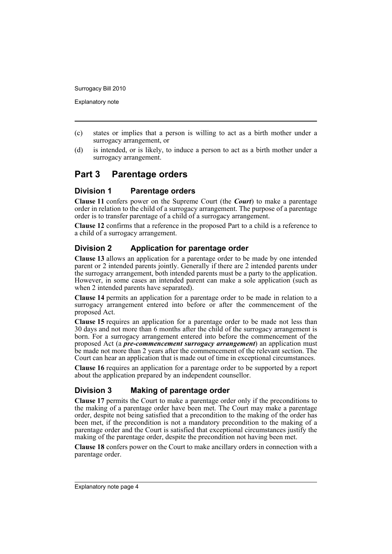Explanatory note

- (c) states or implies that a person is willing to act as a birth mother under a surrogacy arrangement, or
- (d) is intended, or is likely, to induce a person to act as a birth mother under a surrogacy arrangement.

## **Part 3 Parentage orders**

#### **Division 1 Parentage orders**

**Clause 11** confers power on the Supreme Court (the *Court*) to make a parentage order in relation to the child of a surrogacy arrangement. The purpose of a parentage order is to transfer parentage of a child of a surrogacy arrangement.

**Clause 12** confirms that a reference in the proposed Part to a child is a reference to a child of a surrogacy arrangement.

#### **Division 2 Application for parentage order**

**Clause 13** allows an application for a parentage order to be made by one intended parent or 2 intended parents jointly. Generally if there are 2 intended parents under the surrogacy arrangement, both intended parents must be a party to the application. However, in some cases an intended parent can make a sole application (such as when 2 intended parents have separated).

**Clause 14** permits an application for a parentage order to be made in relation to a surrogacy arrangement entered into before or after the commencement of the proposed Act.

**Clause 15** requires an application for a parentage order to be made not less than 30 days and not more than 6 months after the child of the surrogacy arrangement is born. For a surrogacy arrangement entered into before the commencement of the proposed Act (a *pre-commencement surrogacy arrangement*) an application must be made not more than 2 years after the commencement of the relevant section. The Court can hear an application that is made out of time in exceptional circumstances.

**Clause 16** requires an application for a parentage order to be supported by a report about the application prepared by an independent counsellor.

#### **Division 3 Making of parentage order**

**Clause 17** permits the Court to make a parentage order only if the preconditions to the making of a parentage order have been met. The Court may make a parentage order, despite not being satisfied that a precondition to the making of the order has been met, if the precondition is not a mandatory precondition to the making of a parentage order and the Court is satisfied that exceptional circumstances justify the making of the parentage order, despite the precondition not having been met.

**Clause 18** confers power on the Court to make ancillary orders in connection with a parentage order.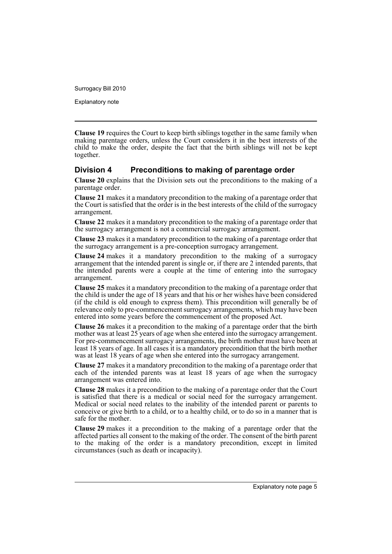Explanatory note

**Clause 19** requires the Court to keep birth siblings together in the same family when making parentage orders, unless the Court considers it in the best interests of the child to make the order, despite the fact that the birth siblings will not be kept together.

#### **Division 4 Preconditions to making of parentage order**

**Clause 20** explains that the Division sets out the preconditions to the making of a parentage order.

**Clause 21** makes it a mandatory precondition to the making of a parentage order that the Court is satisfied that the order is in the best interests of the child of the surrogacy arrangement.

**Clause 22** makes it a mandatory precondition to the making of a parentage order that the surrogacy arrangement is not a commercial surrogacy arrangement.

**Clause 23** makes it a mandatory precondition to the making of a parentage order that the surrogacy arrangement is a pre-conception surrogacy arrangement.

**Clause 24** makes it a mandatory precondition to the making of a surrogacy arrangement that the intended parent is single or, if there are 2 intended parents, that the intended parents were a couple at the time of entering into the surrogacy arrangement.

**Clause 25** makes it a mandatory precondition to the making of a parentage order that the child is under the age of 18 years and that his or her wishes have been considered (if the child is old enough to express them). This precondition will generally be of relevance only to pre-commencement surrogacy arrangements, which may have been entered into some years before the commencement of the proposed Act.

**Clause 26** makes it a precondition to the making of a parentage order that the birth mother was at least 25 years of age when she entered into the surrogacy arrangement. For pre-commencement surrogacy arrangements, the birth mother must have been at least 18 years of age. In all cases it is a mandatory precondition that the birth mother was at least 18 years of age when she entered into the surrogacy arrangement.

**Clause 27** makes it a mandatory precondition to the making of a parentage order that each of the intended parents was at least 18 years of age when the surrogacy arrangement was entered into.

**Clause 28** makes it a precondition to the making of a parentage order that the Court is satisfied that there is a medical or social need for the surrogacy arrangement. Medical or social need relates to the inability of the intended parent or parents to conceive or give birth to a child, or to a healthy child, or to do so in a manner that is safe for the mother.

**Clause 29** makes it a precondition to the making of a parentage order that the affected parties all consent to the making of the order. The consent of the birth parent to the making of the order is a mandatory precondition, except in limited circumstances (such as death or incapacity).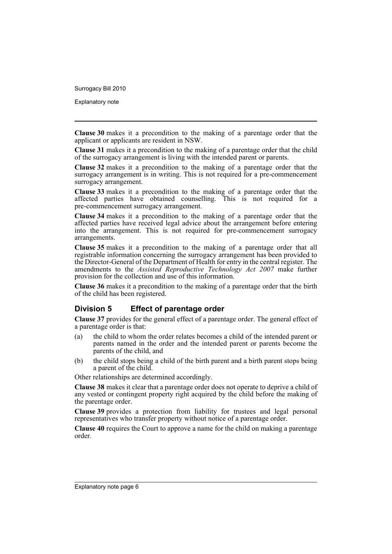Explanatory note

**Clause 30** makes it a precondition to the making of a parentage order that the applicant or applicants are resident in NSW.

**Clause 31** makes it a precondition to the making of a parentage order that the child of the surrogacy arrangement is living with the intended parent or parents.

**Clause 32** makes it a precondition to the making of a parentage order that the surrogacy arrangement is in writing. This is not required for a pre-commencement surrogacy arrangement.

**Clause 33** makes it a precondition to the making of a parentage order that the affected parties have obtained counselling. This is not required for a pre-commencement surrogacy arrangement.

**Clause 34** makes it a precondition to the making of a parentage order that the affected parties have received legal advice about the arrangement before entering into the arrangement. This is not required for pre-commencement surrogacy arrangements.

**Clause 35** makes it a precondition to the making of a parentage order that all registrable information concerning the surrogacy arrangement has been provided to the Director-General of the Department of Health for entry in the central register. The amendments to the *Assisted Reproductive Technology Act 2007* make further provision for the collection and use of this information.

**Clause 36** makes it a precondition to the making of a parentage order that the birth of the child has been registered.

#### **Division 5 Effect of parentage order**

**Clause 37** provides for the general effect of a parentage order. The general effect of a parentage order is that:

- (a) the child to whom the order relates becomes a child of the intended parent or parents named in the order and the intended parent or parents become the parents of the child, and
- (b) the child stops being a child of the birth parent and a birth parent stops being a parent of the child.

Other relationships are determined accordingly.

**Clause 38** makes it clear that a parentage order does not operate to deprive a child of any vested or contingent property right acquired by the child before the making of the parentage order.

**Clause 39** provides a protection from liability for trustees and legal personal representatives who transfer property without notice of a parentage order.

**Clause 40** requires the Court to approve a name for the child on making a parentage order.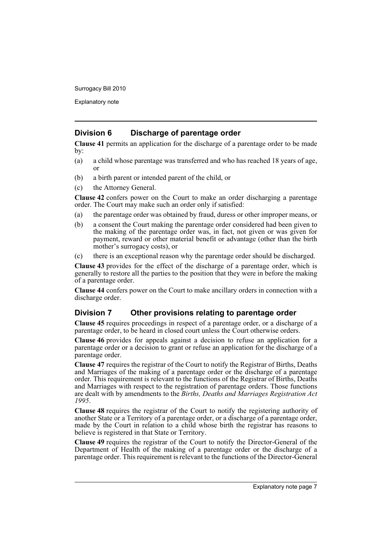Explanatory note

#### **Division 6 Discharge of parentage order**

**Clause 41** permits an application for the discharge of a parentage order to be made by:

- (a) a child whose parentage was transferred and who has reached 18 years of age, or
- (b) a birth parent or intended parent of the child, or
- (c) the Attorney General.

**Clause 42** confers power on the Court to make an order discharging a parentage order. The Court may make such an order only if satisfied:

- (a) the parentage order was obtained by fraud, duress or other improper means, or
- (b) a consent the Court making the parentage order considered had been given to the making of the parentage order was, in fact, not given or was given for payment, reward or other material benefit or advantage (other than the birth mother's surrogacy costs), or
- (c) there is an exceptional reason why the parentage order should be discharged.

**Clause 43** provides for the effect of the discharge of a parentage order, which is generally to restore all the parties to the position that they were in before the making of a parentage order.

**Clause 44** confers power on the Court to make ancillary orders in connection with a discharge order.

#### **Division 7 Other provisions relating to parentage order**

**Clause 45** requires proceedings in respect of a parentage order, or a discharge of a parentage order, to be heard in closed court unless the Court otherwise orders.

**Clause 46** provides for appeals against a decision to refuse an application for a parentage order or a decision to grant or refuse an application for the discharge of a parentage order.

**Clause 47** requires the registrar of the Court to notify the Registrar of Births, Deaths and Marriages of the making of a parentage order or the discharge of a parentage order. This requirement is relevant to the functions of the Registrar of Births, Deaths and Marriages with respect to the registration of parentage orders. Those functions are dealt with by amendments to the *Births, Deaths and Marriages Registration Act 1995*.

**Clause 48** requires the registrar of the Court to notify the registering authority of another State or a Territory of a parentage order, or a discharge of a parentage order, made by the Court in relation to a child whose birth the registrar has reasons to believe is registered in that State or Territory.

**Clause 49** requires the registrar of the Court to notify the Director-General of the Department of Health of the making of a parentage order or the discharge of a parentage order. This requirement is relevant to the functions of the Director-General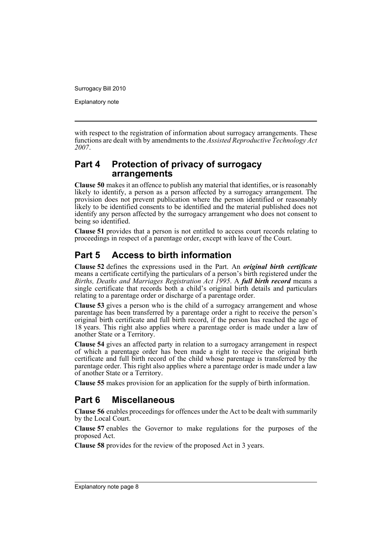Explanatory note

with respect to the registration of information about surrogacy arrangements. These functions are dealt with by amendments to the *Assisted Reproductive Technology Act 2007*.

## **Part 4 Protection of privacy of surrogacy arrangements**

**Clause 50** makes it an offence to publish any material that identifies, or is reasonably likely to identify, a person as a person affected by a surrogacy arrangement. The provision does not prevent publication where the person identified or reasonably likely to be identified consents to be identified and the material published does not identify any person affected by the surrogacy arrangement who does not consent to being so identified.

**Clause 51** provides that a person is not entitled to access court records relating to proceedings in respect of a parentage order, except with leave of the Court.

## **Part 5 Access to birth information**

**Clause 52** defines the expressions used in the Part. An *original birth certificate* means a certificate certifying the particulars of a person's birth registered under the *Births, Deaths and Marriages Registration Act 1995*. A *full birth record* means a single certificate that records both a child's original birth details and particulars relating to a parentage order or discharge of a parentage order.

**Clause 53** gives a person who is the child of a surrogacy arrangement and whose parentage has been transferred by a parentage order a right to receive the person's original birth certificate and full birth record, if the person has reached the age of 18 years. This right also applies where a parentage order is made under a law of another State or a Territory.

**Clause 54** gives an affected party in relation to a surrogacy arrangement in respect of which a parentage order has been made a right to receive the original birth certificate and full birth record of the child whose parentage is transferred by the parentage order. This right also applies where a parentage order is made under a law of another State or a Territory.

**Clause 55** makes provision for an application for the supply of birth information.

## **Part 6 Miscellaneous**

**Clause 56** enables proceedings for offences under the Act to be dealt with summarily by the Local Court.

**Clause 57** enables the Governor to make regulations for the purposes of the proposed Act.

**Clause 58** provides for the review of the proposed Act in 3 years.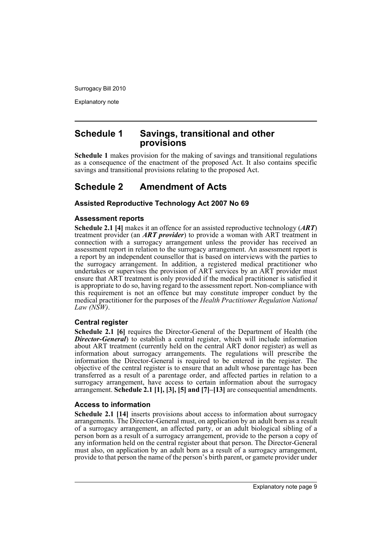Explanatory note

## **Schedule 1 Savings, transitional and other provisions**

**Schedule 1** makes provision for the making of savings and transitional regulations as a consequence of the enactment of the proposed Act. It also contains specific savings and transitional provisions relating to the proposed Act.

## **Schedule 2 Amendment of Acts**

#### **Assisted Reproductive Technology Act 2007 No 69**

#### **Assessment reports**

**Schedule 2.1 [4]** makes it an offence for an assisted reproductive technology (*ART*) treatment provider (an *ART provider*) to provide a woman with ART treatment in connection with a surrogacy arrangement unless the provider has received an assessment report in relation to the surrogacy arrangement. An assessment report is a report by an independent counsellor that is based on interviews with the parties to the surrogacy arrangement. In addition, a registered medical practitioner who undertakes or supervises the provision of ART services by an ART provider must ensure that ART treatment is only provided if the medical practitioner is satisfied it is appropriate to do so, having regard to the assessment report. Non-compliance with this requirement is not an offence but may constitute improper conduct by the medical practitioner for the purposes of the *Health Practitioner Regulation National Law (NSW)*.

#### **Central register**

**Schedule 2.1 [6]** requires the Director-General of the Department of Health (the *Director-General*) to establish a central register, which will include information about ART treatment (currently held on the central ART donor register) as well as information about surrogacy arrangements. The regulations will prescribe the information the Director-General is required to be entered in the register. The objective of the central register is to ensure that an adult whose parentage has been transferred as a result of a parentage order, and affected parties in relation to a surrogacy arrangement, have access to certain information about the surrogacy arrangement. **Schedule 2.1 [1], [3], [5] and [7]–[13]** are consequential amendments.

#### **Access to information**

**Schedule 2.1 [14]** inserts provisions about access to information about surrogacy arrangements. The Director-General must, on application by an adult born as a result of a surrogacy arrangement, an affected party, or an adult biological sibling of a person born as a result of a surrogacy arrangement, provide to the person a copy of any information held on the central register about that person. The Director-General must also, on application by an adult born as a result of a surrogacy arrangement, provide to that person the name of the person's birth parent, or gamete provider under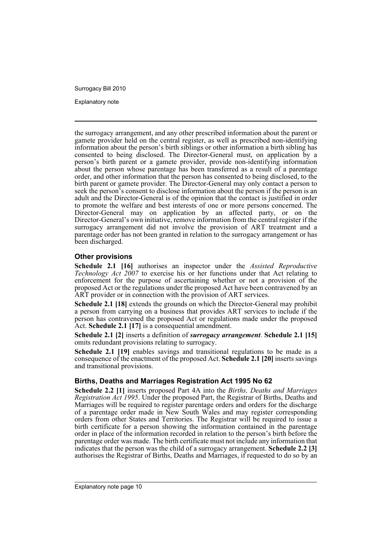Explanatory note

the surrogacy arrangement, and any other prescribed information about the parent or gamete provider held on the central register, as well as prescribed non-identifying information about the person's birth siblings or other information a birth sibling has consented to being disclosed. The Director-General must, on application by a person's birth parent or a gamete provider, provide non-identifying information about the person whose parentage has been transferred as a result of a parentage order, and other information that the person has consented to being disclosed, to the birth parent or gamete provider. The Director-General may only contact a person to seek the person's consent to disclose information about the person if the person is an adult and the Director-General is of the opinion that the contact is justified in order to promote the welfare and best interests of one or more persons concerned. The Director-General may on application by an affected party, or on the Director-General's own initiative, remove information from the central register if the surrogacy arrangement did not involve the provision of ART treatment and a parentage order has not been granted in relation to the surrogacy arrangement or has been discharged.

#### **Other provisions**

**Schedule 2.1 [16]** authorises an inspector under the *Assisted Reproductive Technology Act 2007* to exercise his or her functions under that Act relating to enforcement for the purpose of ascertaining whether or not a provision of the proposed Act or the regulations under the proposed Act have been contravened by an ART provider or in connection with the provision of ART services.

**Schedule 2.1 [18]** extends the grounds on which the Director-General may prohibit a person from carrying on a business that provides ART services to include if the person has contravened the proposed Act or regulations made under the proposed Act. **Schedule 2.1 [17]** is a consequential amendment.

**Schedule 2.1 [2]** inserts a definition of *surrogacy arrangement*. **Schedule 2.1 [15]** omits redundant provisions relating to surrogacy.

**Schedule 2.1 [19]** enables savings and transitional regulations to be made as a consequence of the enactment of the proposed Act. **Schedule 2.1 [20]** inserts savings and transitional provisions.

#### **Births, Deaths and Marriages Registration Act 1995 No 62**

**Schedule 2.2 [1]** inserts proposed Part 4A into the *Births, Deaths and Marriages Registration Act 1995*. Under the proposed Part, the Registrar of Births, Deaths and Marriages will be required to register parentage orders and orders for the discharge of a parentage order made in New South Wales and may register corresponding orders from other States and Territories. The Registrar will be required to issue a birth certificate for a person showing the information contained in the parentage order in place of the information recorded in relation to the person's birth before the parentage order was made. The birth certificate must not include any information that indicates that the person was the child of a surrogacy arrangement. **Schedule 2.2 [3]** authorises the Registrar of Births, Deaths and Marriages, if requested to do so by an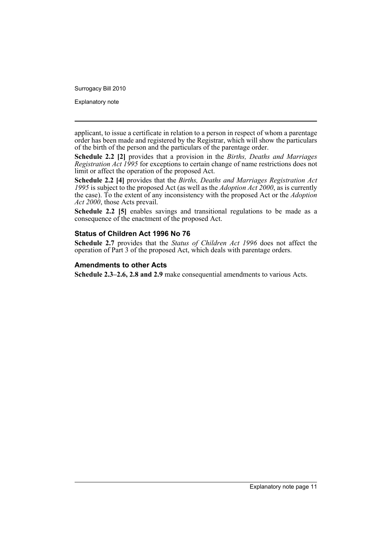Explanatory note

applicant, to issue a certificate in relation to a person in respect of whom a parentage order has been made and registered by the Registrar, which will show the particulars of the birth of the person and the particulars of the parentage order.

**Schedule 2.2 [2]** provides that a provision in the *Births, Deaths and Marriages Registration Act 1995* for exceptions to certain change of name restrictions does not limit or affect the operation of the proposed Act.

**Schedule 2.2 [4]** provides that the *Births, Deaths and Marriages Registration Act 1995* is subject to the proposed Act (as well as the *Adoption Act 2000*, as is currently the case). To the extent of any inconsistency with the proposed Act or the *Adoption Act 2000*, those Acts prevail.

Schedule 2.2 [5] enables savings and transitional regulations to be made as a consequence of the enactment of the proposed Act.

#### **Status of Children Act 1996 No 76**

**Schedule 2.7** provides that the *Status of Children Act 1996* does not affect the operation of Part 3 of the proposed Act, which deals with parentage orders.

#### **Amendments to other Acts**

**Schedule 2.3–2.6, 2.8 and 2.9** make consequential amendments to various Acts.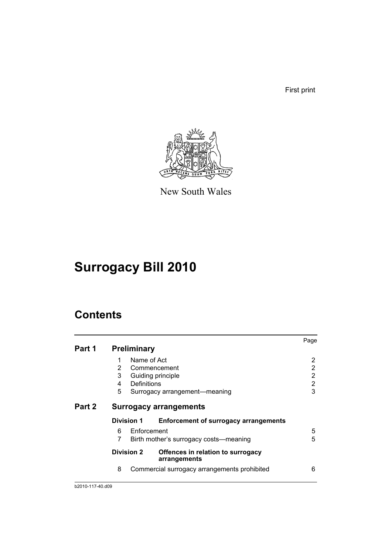First print



New South Wales

# **Surrogacy Bill 2010**

## **Contents**

|        |   |                    |                                                   | Page |
|--------|---|--------------------|---------------------------------------------------|------|
| Part 1 |   | <b>Preliminary</b> |                                                   |      |
|        | 1 | Name of Act        |                                                   | 2    |
|        | 2 |                    | Commencement                                      | 2    |
|        | 3 |                    | Guiding principle                                 | 2    |
|        | 4 | Definitions        |                                                   | 2    |
|        | 5 |                    | Surrogacy arrangement-meaning                     | 3    |
| Part 2 |   |                    | <b>Surrogacy arrangements</b>                     |      |
|        |   | <b>Division 1</b>  | <b>Enforcement of surrogacy arrangements</b>      |      |
|        | 6 | Enforcement        |                                                   | 5    |
|        | 7 |                    | Birth mother's surrogacy costs—meaning            | 5    |
|        |   | <b>Division 2</b>  | Offences in relation to surrogacy<br>arrangements |      |
|        | 8 |                    | Commercial surrogacy arrangements prohibited      | 6    |
|        |   |                    |                                                   |      |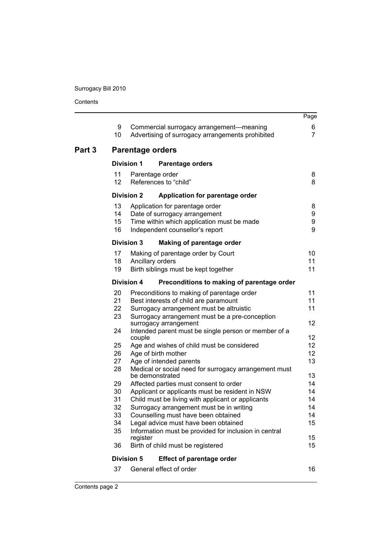Contents

|        |                         |                   |                                                                                                                                                   | Page                |
|--------|-------------------------|-------------------|---------------------------------------------------------------------------------------------------------------------------------------------------|---------------------|
|        | 9<br>10                 |                   | Commercial surrogacy arrangement-meaning<br>Advertising of surrogacy arrangements prohibited                                                      | 6<br>$\overline{7}$ |
| Part 3 |                         |                   | <b>Parentage orders</b>                                                                                                                           |                     |
|        |                         | <b>Division 1</b> | <b>Parentage orders</b>                                                                                                                           |                     |
|        | 11<br>$12 \overline{ }$ |                   | Parentage order<br>References to "child"                                                                                                          | 8<br>8              |
|        |                         | <b>Division 2</b> | Application for parentage order                                                                                                                   |                     |
|        | 13<br>14<br>15<br>16    |                   | Application for parentage order<br>Date of surrogacy arrangement<br>Time within which application must be made<br>Independent counsellor's report | 8<br>9<br>9<br>9    |
|        |                         | <b>Division 3</b> | Making of parentage order                                                                                                                         |                     |
|        | 17                      |                   | Making of parentage order by Court                                                                                                                | 10                  |
|        | 18<br>19                |                   | Ancillary orders<br>Birth siblings must be kept together                                                                                          | 11<br>11            |
|        |                         | <b>Division 4</b> | Preconditions to making of parentage order                                                                                                        |                     |
|        | 20                      |                   | Preconditions to making of parentage order                                                                                                        | 11                  |
|        | 21                      |                   | Best interests of child are paramount                                                                                                             | 11                  |
|        | 22                      |                   | Surrogacy arrangement must be altruistic                                                                                                          | 11                  |
|        | 23                      |                   | Surrogacy arrangement must be a pre-conception<br>surrogacy arrangement                                                                           | 12                  |
|        | 24                      | couple            | Intended parent must be single person or member of a                                                                                              | 12                  |
|        | 25                      |                   | Age and wishes of child must be considered                                                                                                        | 12                  |
|        | 26                      |                   | Age of birth mother                                                                                                                               | 12                  |
|        | 27                      |                   | Age of intended parents                                                                                                                           | 13                  |
|        | 28                      |                   | Medical or social need for surrogacy arrangement must                                                                                             |                     |
|        |                         |                   | be demonstrated                                                                                                                                   | 13                  |
|        | 29                      |                   | Affected parties must consent to order                                                                                                            | 14                  |
|        | 30                      |                   | Applicant or applicants must be resident in NSW                                                                                                   | 14                  |
|        | 31                      |                   | Child must be living with applicant or applicants                                                                                                 | 14<br>14            |
|        | 32<br>33                |                   | Surrogacy arrangement must be in writing<br>Counselling must have been obtained                                                                   | 14                  |
|        | 34                      |                   | Legal advice must have been obtained                                                                                                              | 15                  |
|        | 35                      |                   | Information must be provided for inclusion in central                                                                                             |                     |
|        |                         | register          |                                                                                                                                                   | 15                  |
|        | 36                      |                   | Birth of child must be registered                                                                                                                 | 15                  |
|        |                         | <b>Division 5</b> | <b>Effect of parentage order</b>                                                                                                                  |                     |
|        | 37                      |                   | General effect of order                                                                                                                           | 16                  |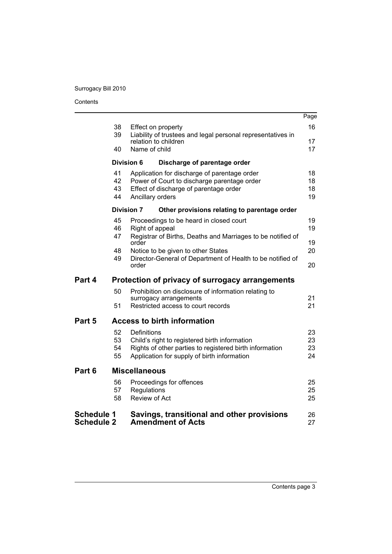|                   |          |                                                                                       | Page     |
|-------------------|----------|---------------------------------------------------------------------------------------|----------|
|                   | 38       | Effect on property                                                                    | 16       |
|                   | 39       | Liability of trustees and legal personal representatives in<br>relation to children   | 17       |
|                   | 40       | Name of child                                                                         | 17       |
|                   |          |                                                                                       |          |
|                   |          | <b>Division 6</b><br>Discharge of parentage order                                     |          |
|                   | 41       | Application for discharge of parentage order                                          | 18       |
|                   | 42<br>43 | Power of Court to discharge parentage order<br>Effect of discharge of parentage order | 18<br>18 |
|                   | 44       | Ancillary orders                                                                      | 19       |
|                   |          | <b>Division 7</b><br>Other provisions relating to parentage order                     |          |
|                   |          |                                                                                       |          |
|                   | 45<br>46 | Proceedings to be heard in closed court                                               | 19<br>19 |
|                   | 47       | Right of appeal<br>Registrar of Births, Deaths and Marriages to be notified of        |          |
|                   |          | order                                                                                 | 19       |
|                   | 48       | Notice to be given to other States                                                    | 20       |
|                   | 49       | Director-General of Department of Health to be notified of                            |          |
|                   |          | order                                                                                 | 20       |
| Part 4            |          | Protection of privacy of surrogacy arrangements                                       |          |
|                   | 50       | Prohibition on disclosure of information relating to                                  |          |
|                   |          | surrogacy arrangements                                                                | 21       |
|                   | 51       | Restricted access to court records                                                    | 21       |
| Part 5            |          | <b>Access to birth information</b>                                                    |          |
|                   | 52       | Definitions                                                                           | 23.      |
|                   | 53       | Child's right to registered birth information                                         | 23       |
|                   | 54       | Rights of other parties to registered birth information                               | 23       |
|                   | 55       | Application for supply of birth information                                           | 24       |
| Part 6            |          | <b>Miscellaneous</b>                                                                  |          |
|                   | 56       | Proceedings for offences                                                              | 25       |
|                   | 57       | Regulations                                                                           | 25       |
|                   | 58       | Review of Act                                                                         | 25       |
| <b>Schedule 1</b> |          | Savings, transitional and other provisions                                            | 26       |
| <b>Schedule 2</b> |          | <b>Amendment of Acts</b>                                                              | 27       |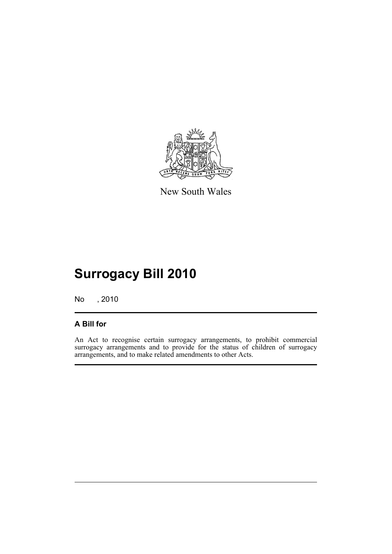

New South Wales

# **Surrogacy Bill 2010**

No , 2010

## **A Bill for**

An Act to recognise certain surrogacy arrangements, to prohibit commercial surrogacy arrangements and to provide for the status of children of surrogacy arrangements, and to make related amendments to other Acts.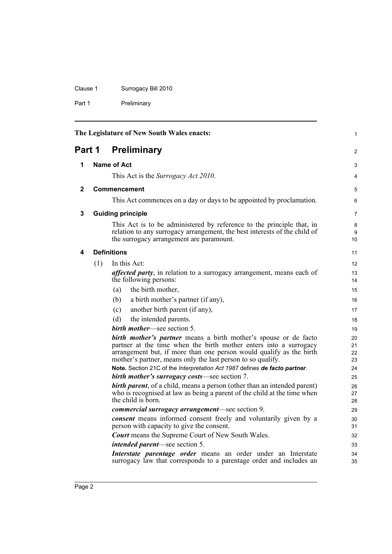Clause 1 Surrogacy Bill 2010

Part 1 Preliminary

<span id="page-17-4"></span><span id="page-17-3"></span><span id="page-17-2"></span><span id="page-17-1"></span><span id="page-17-0"></span>

|        |     | The Legislature of New South Wales enacts:                                                                                                                                                                                                                                                                                                                       | $\mathbf{1}$               |
|--------|-----|------------------------------------------------------------------------------------------------------------------------------------------------------------------------------------------------------------------------------------------------------------------------------------------------------------------------------------------------------------------|----------------------------|
| Part 1 |     | <b>Preliminary</b>                                                                                                                                                                                                                                                                                                                                               | $\overline{c}$             |
| 1      |     | Name of Act                                                                                                                                                                                                                                                                                                                                                      | 3                          |
|        |     | This Act is the <i>Surrogacy Act 2010</i> .                                                                                                                                                                                                                                                                                                                      | 4                          |
| 2      |     | <b>Commencement</b>                                                                                                                                                                                                                                                                                                                                              | 5                          |
|        |     | This Act commences on a day or days to be appointed by proclamation.                                                                                                                                                                                                                                                                                             | 6                          |
| 3      |     | <b>Guiding principle</b>                                                                                                                                                                                                                                                                                                                                         | $\overline{7}$             |
|        |     | This Act is to be administered by reference to the principle that, in<br>relation to any surrogacy arrangement, the best interests of the child of<br>the surrogacy arrangement are paramount.                                                                                                                                                                   | 8<br>9<br>10               |
| 4      |     | <b>Definitions</b>                                                                                                                                                                                                                                                                                                                                               | 11                         |
|        | (1) | In this Act:                                                                                                                                                                                                                                                                                                                                                     | 12                         |
|        |     | <i>affected party</i> , in relation to a surrogacy arrangement, means each of<br>the following persons:                                                                                                                                                                                                                                                          | 13<br>14                   |
|        |     | the birth mother,<br>(a)                                                                                                                                                                                                                                                                                                                                         | 15                         |
|        |     | (b)<br>a birth mother's partner (if any),                                                                                                                                                                                                                                                                                                                        | 16                         |
|        |     | another birth parent (if any),<br>(c)                                                                                                                                                                                                                                                                                                                            | 17                         |
|        |     | (d)<br>the intended parents.                                                                                                                                                                                                                                                                                                                                     | 18                         |
|        |     | <b>birth mother—see section 5.</b>                                                                                                                                                                                                                                                                                                                               | 19                         |
|        |     | <b>birth mother's partner</b> means a birth mother's spouse or de facto<br>partner at the time when the birth mother enters into a surrogacy<br>arrangement but, if more than one person would qualify as the birth<br>mother's partner, means only the last person to so qualify.<br>Note. Section 21C of the Interpretation Act 1987 defines de facto partner. | 20<br>21<br>22<br>23<br>24 |
|        |     | <b>birth mother's surrogacy costs—see section 7.</b>                                                                                                                                                                                                                                                                                                             | 25                         |
|        |     | <b>birth parent</b> , of a child, means a person (other than an intended parent)<br>who is recognised at law as being a parent of the child at the time when<br>the child is born.                                                                                                                                                                               | 26<br>27<br>28             |
|        |     | <i>commercial surrogacy arrangement</i> —see section 9.                                                                                                                                                                                                                                                                                                          | 29                         |
|        |     | <b><i>consent</i></b> means informed consent freely and voluntarily given by a<br>person with capacity to give the consent.                                                                                                                                                                                                                                      | 30<br>31                   |
|        |     | <b>Court</b> means the Supreme Court of New South Wales.                                                                                                                                                                                                                                                                                                         | 32                         |
|        |     | <i>intended parent</i> —see section 5.                                                                                                                                                                                                                                                                                                                           | 33                         |
|        |     | Interstate parentage order means an order under an Interstate<br>surrogacy law that corresponds to a parentage order and includes an                                                                                                                                                                                                                             | 34<br>35                   |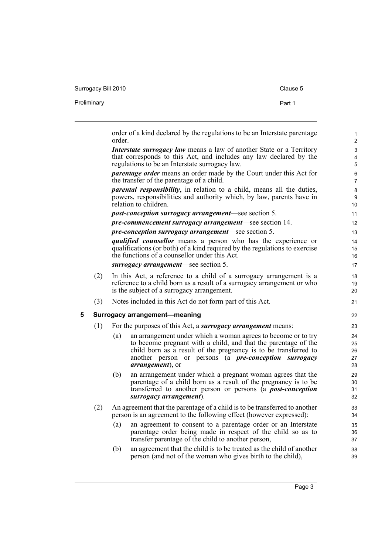Surrogacy Bill 2010 Clause 5

Preliminary **Part 1** 

<span id="page-18-0"></span>

|   |     | order | order of a kind declared by the regulations to be an Interstate parentage                                                                                                                                                                                                                      |
|---|-----|-------|------------------------------------------------------------------------------------------------------------------------------------------------------------------------------------------------------------------------------------------------------------------------------------------------|
|   |     |       | <i>Interstate surrogacy law</i> means a law of another State or a Territory<br>that corresponds to this Act, and includes any law declared by the<br>regulations to be an Interstate surrogacy law.                                                                                            |
|   |     |       | <i>parentage order</i> means an order made by the Court under this Act for<br>the transfer of the parentage of a child.                                                                                                                                                                        |
|   |     |       | <i>parental responsibility</i> , in relation to a child, means all the duties,<br>powers, responsibilities and authority which, by law, parents have in<br>relation to children.                                                                                                               |
|   |     |       | <i>post-conception surrogacy arrangement—see section 5.</i>                                                                                                                                                                                                                                    |
|   |     |       | pre-commencement surrogacy arrangement-see section 14.                                                                                                                                                                                                                                         |
|   |     |       | <i>pre-conception surrogacy arrangement—see section 5.</i>                                                                                                                                                                                                                                     |
|   |     |       | <i>qualified counsellor</i> means a person who has the experience or<br>qualifications (or both) of a kind required by the regulations to exercise<br>the functions of a counsellor under this Act.                                                                                            |
|   |     |       | surrogacy arrangement-see section 5.                                                                                                                                                                                                                                                           |
|   | (2) |       | In this Act, a reference to a child of a surrogacy arrangement is a<br>reference to a child born as a result of a surrogacy arrangement or who<br>is the subject of a surrogacy arrangement.                                                                                                   |
|   | (3) |       | Notes included in this Act do not form part of this Act.                                                                                                                                                                                                                                       |
| 5 |     |       | <b>Surrogacy arrangement-meaning</b>                                                                                                                                                                                                                                                           |
|   | (1) |       | For the purposes of this Act, a <i>surrogacy arrangement</i> means:                                                                                                                                                                                                                            |
|   |     | (a)   | an arrangement under which a woman agrees to become or to try<br>to become pregnant with a child, and that the parentage of the<br>child born as a result of the pregnancy is to be transferred to<br>another person or persons (a <i>pre-conception surrogacy</i><br><i>arrangement</i> ), or |
|   |     | (b)   | an arrangement under which a pregnant woman agrees that the<br>parentage of a child born as a result of the pregnancy is to be<br>transferred to another person or persons (a <i>post-conception</i><br>$surrogacy$ arrangement).                                                              |
|   | (2) |       | An agreement that the parentage of a child is to be transferred to another<br>person is an agreement to the following effect (however expressed):                                                                                                                                              |
|   |     | (a)   | an agreement to consent to a parentage order or an Interstate<br>parentage order being made in respect of the child so as to<br>transfer parentage of the child to another person,                                                                                                             |
|   |     | (b)   | an agreement that the child is to be treated as the child of another<br>person (and not of the woman who gives birth to the child),                                                                                                                                                            |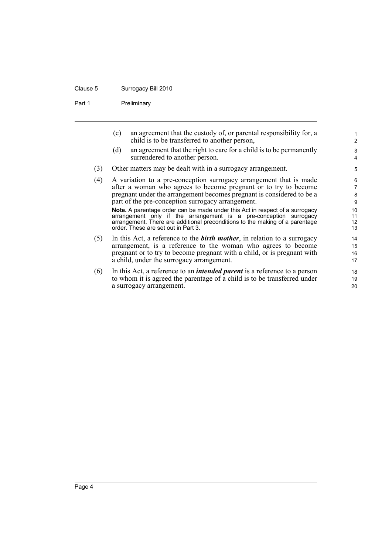#### Clause 5 Surrogacy Bill 2010

Part 1 Preliminary

(c) an agreement that the custody of, or parental responsibility for, a child is to be transferred to another person,

- (d) an agreement that the right to care for a child is to be permanently surrendered to another person.
- (3) Other matters may be dealt with in a surrogacy arrangement.
- (4) A variation to a pre-conception surrogacy arrangement that is made after a woman who agrees to become pregnant or to try to become pregnant under the arrangement becomes pregnant is considered to be a part of the pre-conception surrogacy arrangement. **Note.** A parentage order can be made under this Act in respect of a surrogacy arrangement only if the arrangement is a pre-conception surrogacy arrangement. There are additional preconditions to the making of a parentage order. These are set out in Part 3.
- (5) In this Act, a reference to the *birth mother*, in relation to a surrogacy arrangement, is a reference to the woman who agrees to become pregnant or to try to become pregnant with a child, or is pregnant with a child, under the surrogacy arrangement.
- (6) In this Act, a reference to an *intended parent* is a reference to a person to whom it is agreed the parentage of a child is to be transferred under a surrogacy arrangement.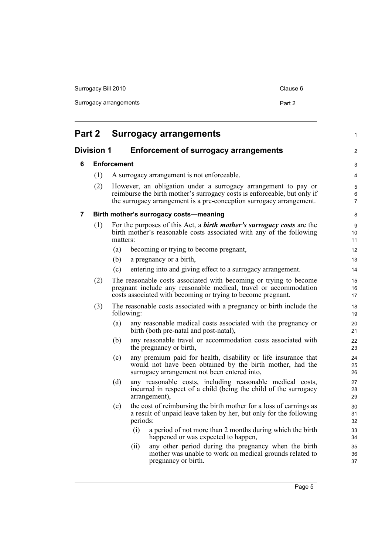| Surrogacy Bill 2010    | Clause 6 |
|------------------------|----------|
| Surrogacy arrangements | Part 2   |
|                        |          |

<span id="page-20-3"></span><span id="page-20-2"></span><span id="page-20-1"></span><span id="page-20-0"></span>

| Part 2 |                   | <b>Surrogacy arrangements</b>                                                                                                                                                                                      |                |
|--------|-------------------|--------------------------------------------------------------------------------------------------------------------------------------------------------------------------------------------------------------------|----------------|
|        | <b>Division 1</b> | <b>Enforcement of surrogacy arrangements</b>                                                                                                                                                                       | 2              |
| 6      |                   | <b>Enforcement</b>                                                                                                                                                                                                 | 3              |
|        | (1)               | A surrogacy arrangement is not enforceable.                                                                                                                                                                        | 4              |
|        | (2)               | However, an obligation under a surrogacy arrangement to pay or<br>reimburse the birth mother's surrogacy costs is enforceable, but only if<br>the surrogacy arrangement is a pre-conception surrogacy arrangement. | 5<br>6<br>7    |
| 7      |                   | Birth mother's surrogacy costs-meaning                                                                                                                                                                             | 8              |
|        | (1)               | For the purposes of this Act, a <b>birth mother's surrogacy costs</b> are the<br>birth mother's reasonable costs associated with any of the following<br>matters:                                                  | 9<br>10<br>11  |
|        |                   | (a)<br>becoming or trying to become pregnant,                                                                                                                                                                      | 12             |
|        |                   | (b)<br>a pregnancy or a birth,                                                                                                                                                                                     | 13             |
|        |                   | entering into and giving effect to a surrogacy arrangement.<br>(c)                                                                                                                                                 | 14             |
|        | (2)               | The reasonable costs associated with becoming or trying to become<br>pregnant include any reasonable medical, travel or accommodation<br>costs associated with becoming or trying to become pregnant.              | 15<br>16<br>17 |
|        | (3)               | The reasonable costs associated with a pregnancy or birth include the<br>following:                                                                                                                                | 18<br>19       |
|        |                   | (a)<br>any reasonable medical costs associated with the pregnancy or<br>birth (both pre-natal and post-natal),                                                                                                     | 20<br>21       |
|        |                   | any reasonable travel or accommodation costs associated with<br>(b)<br>the pregnancy or birth,                                                                                                                     | 22<br>23       |
|        |                   | any premium paid for health, disability or life insurance that<br>(c)<br>would not have been obtained by the birth mother, had the<br>surrogacy arrangement not been entered into,                                 | 24<br>25<br>26 |
|        |                   | any reasonable costs, including reasonable medical costs,<br>(d)<br>incurred in respect of a child (being the child of the surrogacy<br>arrangement),                                                              | 27<br>28<br>29 |
|        |                   | the cost of reimbursing the birth mother for a loss of earnings as<br>(e)<br>a result of unpaid leave taken by her, but only for the following<br>periods:                                                         | 30<br>31<br>32 |
|        |                   | (i)<br>a period of not more than 2 months during which the birth<br>happened or was expected to happen,                                                                                                            | 33<br>34       |
|        |                   | any other period during the pregnancy when the birth<br>(ii)<br>mother was unable to work on medical grounds related to<br>pregnancy or birth.                                                                     | 35<br>36<br>37 |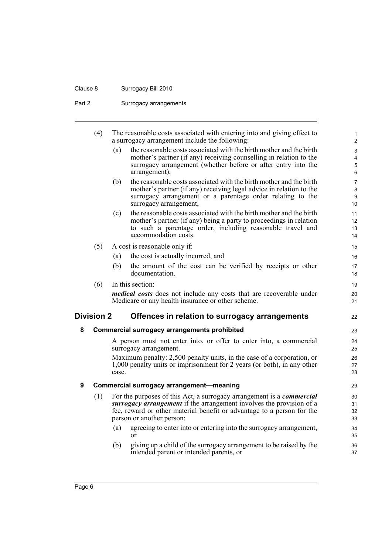## Clause 8 Surrogacy Bill 2010

Part 2 Surrogacy arrangements

<span id="page-21-2"></span><span id="page-21-1"></span><span id="page-21-0"></span>

|   | (4)               |       | The reasonable costs associated with entering into and giving effect to<br>a surrogacy arrangement include the following:         | 1<br>$\overline{2}$ |
|---|-------------------|-------|-----------------------------------------------------------------------------------------------------------------------------------|---------------------|
|   |                   | (a)   | the reasonable costs associated with the birth mother and the birth                                                               | 3                   |
|   |                   |       | mother's partner (if any) receiving counselling in relation to the                                                                | 4                   |
|   |                   |       | surrogacy arrangement (whether before or after entry into the                                                                     | 5                   |
|   |                   |       | arrangement),                                                                                                                     | 6                   |
|   |                   | (b)   | the reasonable costs associated with the birth mother and the birth                                                               | $\overline{7}$      |
|   |                   |       | mother's partner (if any) receiving legal advice in relation to the<br>surrogacy arrangement or a parentage order relating to the | 8<br>9              |
|   |                   |       | surrogacy arrangement,                                                                                                            | 10                  |
|   |                   | (c)   | the reasonable costs associated with the birth mother and the birth                                                               | 11                  |
|   |                   |       | mother's partner (if any) being a party to proceedings in relation                                                                | 12                  |
|   |                   |       | to such a parentage order, including reasonable travel and                                                                        | 13                  |
|   |                   |       | accommodation costs.                                                                                                              | 14                  |
|   | (5)               |       | A cost is reasonable only if:                                                                                                     | 15                  |
|   |                   | (a)   | the cost is actually incurred, and                                                                                                | 16                  |
|   |                   | (b)   | the amount of the cost can be verified by receipts or other                                                                       | 17                  |
|   |                   |       | documentation.                                                                                                                    | 18                  |
|   | (6)               |       | In this section:                                                                                                                  | 19                  |
|   |                   |       | <i>medical costs</i> does not include any costs that are recoverable under                                                        | 20                  |
|   |                   |       | Medicare or any health insurance or other scheme.                                                                                 | 21                  |
|   | <b>Division 2</b> |       | Offences in relation to surrogacy arrangements                                                                                    | 22                  |
| 8 |                   |       | <b>Commercial surrogacy arrangements prohibited</b>                                                                               | 23                  |
|   |                   |       | A person must not enter into, or offer to enter into, a commercial<br>surrogacy arrangement.                                      | 24<br>25            |
|   |                   |       | Maximum penalty: 2,500 penalty units, in the case of a corporation, or                                                            | 26                  |
|   |                   |       | 1,000 penalty units or imprisonment for 2 years (or both), in any other                                                           | 27                  |
|   |                   | case. |                                                                                                                                   | 28                  |
| 9 |                   |       | Commercial surrogacy arrangement-meaning                                                                                          | 29                  |
|   | (1)               |       | For the purposes of this Act, a surrogacy arrangement is a <i>commercial</i>                                                      | 30                  |
|   |                   |       | surrogacy arrangement if the arrangement involves the provision of a                                                              | 31                  |
|   |                   |       | fee, reward or other material benefit or advantage to a person for the<br>person or another person:                               | 32                  |
|   |                   |       |                                                                                                                                   | 33                  |
|   |                   | (a)   | agreeing to enter into or entering into the surrogacy arrangement,<br>or                                                          | 34<br>35            |
|   |                   | (b)   | giving up a child of the surrogacy arrangement to be raised by the                                                                |                     |
|   |                   |       | intended parent or intended parents, or                                                                                           | 36<br>37            |
|   |                   |       |                                                                                                                                   |                     |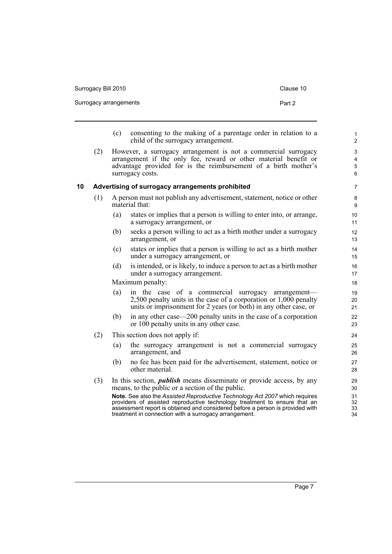| Surrogacy Bill 2010    | Clause 10 |
|------------------------|-----------|
| Surrogacy arrangements | Part 2    |
|                        |           |

- (c) consenting to the making of a parentage order in relation to a child of the surrogacy arrangement.
- (2) However, a surrogacy arrangement is not a commercial surrogacy arrangement if the only fee, reward or other material benefit or advantage provided for is the reimbursement of a birth mother's surrogacy costs.

#### <span id="page-22-0"></span>**10 Advertising of surrogacy arrangements prohibited**

- (1) A person must not publish any advertisement, statement, notice or other material that:
	- (a) states or implies that a person is willing to enter into, or arrange, a surrogacy arrangement, or
	- (b) seeks a person willing to act as a birth mother under a surrogacy arrangement, or
	- (c) states or implies that a person is willing to act as a birth mother under a surrogacy arrangement, or
	- (d) is intended, or is likely, to induce a person to act as a birth mother under a surrogacy arrangement.

Maximum penalty:

- (a) in the case of a commercial surrogacy arrangement— 2,500 penalty units in the case of a corporation or 1,000 penalty units or imprisonment for 2 years (or both) in any other case, or
- (b) in any other case—200 penalty units in the case of a corporation or 100 penalty units in any other case.
- (2) This section does not apply if:
	- (a) the surrogacy arrangement is not a commercial surrogacy arrangement, and
	- (b) no fee has been paid for the advertisement, statement, notice or other material.
- (3) In this section, *publish* means disseminate or provide access, by any means, to the public or a section of the public.

**Note.** See also the *Assisted Reproductive Technology Act 2007* which requires providers of assisted reproductive technology treatment to ensure that an assessment report is obtained and considered before a person is provided with treatment in connection with a surrogacy arrangement.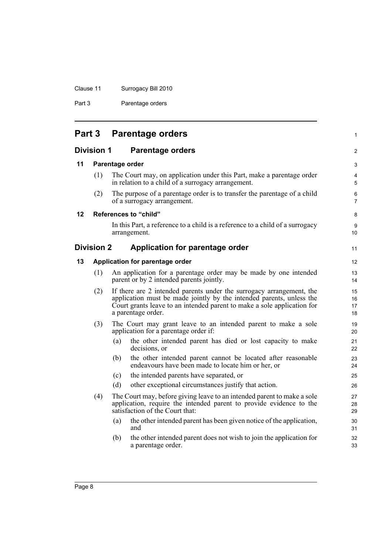|  | Clause 11 | Surrogacy Bill 2010 |
|--|-----------|---------------------|
|--|-----------|---------------------|

Part 3 Parentage orders

<span id="page-23-5"></span><span id="page-23-4"></span><span id="page-23-3"></span><span id="page-23-2"></span><span id="page-23-1"></span><span id="page-23-0"></span>

|    | <b>Part 3</b>     |     | <b>Parentage orders</b>                                                                                                                                                                                                                       | 1                    |
|----|-------------------|-----|-----------------------------------------------------------------------------------------------------------------------------------------------------------------------------------------------------------------------------------------------|----------------------|
|    | <b>Division 1</b> |     | <b>Parentage orders</b>                                                                                                                                                                                                                       | $\overline{2}$       |
| 11 |                   |     | Parentage order                                                                                                                                                                                                                               | 3                    |
|    | (1)               |     | The Court may, on application under this Part, make a parentage order<br>in relation to a child of a surrogacy arrangement.                                                                                                                   | 4<br>5               |
|    | (2)               |     | The purpose of a parentage order is to transfer the parentage of a child<br>of a surrogacy arrangement.                                                                                                                                       | 6<br>$\overline{7}$  |
| 12 |                   |     | References to "child"                                                                                                                                                                                                                         | 8                    |
|    |                   |     | In this Part, a reference to a child is a reference to a child of a surrogacy<br>arrangement.                                                                                                                                                 | 9<br>10              |
|    | <b>Division 2</b> |     | Application for parentage order                                                                                                                                                                                                               | 11                   |
| 13 |                   |     | Application for parentage order                                                                                                                                                                                                               | 12                   |
|    | (1)               |     | An application for a parentage order may be made by one intended<br>parent or by 2 intended parents jointly.                                                                                                                                  | 13<br>14             |
|    | (2)               |     | If there are 2 intended parents under the surrogacy arrangement, the<br>application must be made jointly by the intended parents, unless the<br>Court grants leave to an intended parent to make a sole application for<br>a parentage order. | 15<br>16<br>17<br>18 |
|    | (3)               |     | The Court may grant leave to an intended parent to make a sole<br>application for a parentage order if:                                                                                                                                       | 19<br>20             |
|    |                   | (a) | the other intended parent has died or lost capacity to make<br>decisions, or                                                                                                                                                                  | 21<br>22             |
|    |                   | (b) | the other intended parent cannot be located after reasonable<br>endeavours have been made to locate him or her, or                                                                                                                            | 23<br>24             |
|    |                   | (c) | the intended parents have separated, or                                                                                                                                                                                                       | 25                   |
|    |                   | (d) | other exceptional circumstances justify that action.                                                                                                                                                                                          | 26                   |
|    | (4)               |     | The Court may, before giving leave to an intended parent to make a sole<br>application, require the intended parent to provide evidence to the<br>satisfaction of the Court that:                                                             | 27<br>28<br>29       |
|    |                   | (a) | the other intended parent has been given notice of the application,<br>and                                                                                                                                                                    | 30<br>31             |
|    |                   | (b) | the other intended parent does not wish to join the application for<br>a parentage order.                                                                                                                                                     | 32<br>33             |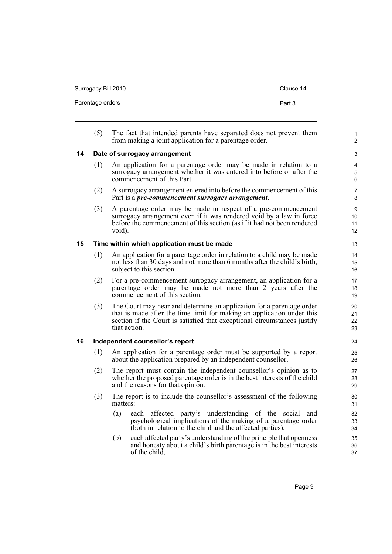<span id="page-24-2"></span><span id="page-24-1"></span><span id="page-24-0"></span>Parentage orders **Part 3** (5) The fact that intended parents have separated does not prevent them from making a joint application for a parentage order. **14 Date of surrogacy arrangement** (1) An application for a parentage order may be made in relation to a surrogacy arrangement whether it was entered into before or after the commencement of this Part. (2) A surrogacy arrangement entered into before the commencement of this Part is a *pre-commencement surrogacy arrangement*. (3) A parentage order may be made in respect of a pre-commencement surrogacy arrangement even if it was rendered void by a law in force before the commencement of this section (as if it had not been rendered void). **15 Time within which application must be made** (1) An application for a parentage order in relation to a child may be made not less than 30 days and not more than 6 months after the child's birth, subject to this section. (2) For a pre-commencement surrogacy arrangement, an application for a parentage order may be made not more than 2 years after the commencement of this section. (3) The Court may hear and determine an application for a parentage order that is made after the time limit for making an application under this section if the Court is satisfied that exceptional circumstances justify that action. **16 Independent counsellor's report** (1) An application for a parentage order must be supported by a report about the application prepared by an independent counsellor. (2) The report must contain the independent counsellor's opinion as to whether the proposed parentage order is in the best interests of the child and the reasons for that opinion. (3) The report is to include the counsellor's assessment of the following matters: (a) each affected party's understanding of the social and psychological implications of the making of a parentage order (both in relation to the child and the affected parties), (b) each affected party's understanding of the principle that openness and honesty about a child's birth parentage is in the best interests of the child, 1  $\overline{2}$ 3 4 5 6 7 8 9 10 11 12 13 14 15 16 17 18 19  $20$ 21 22 23 24 25 26 27 28 29 30 31 32 33 34 35 36 37

Surrogacy Bill 2010 Clause 14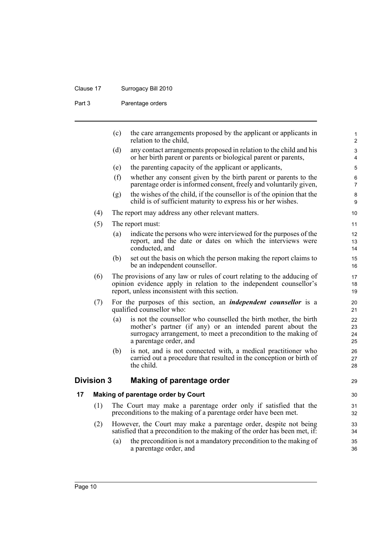## Clause 17 Surrogacy Bill 2010

Part 3 Parentage orders

<span id="page-25-1"></span><span id="page-25-0"></span>

|    |                   | (c) | the care arrangements proposed by the applicant or applicants in<br>relation to the child,                                                                                                                                | $\mathbf{1}$<br>$\overline{c}$ |
|----|-------------------|-----|---------------------------------------------------------------------------------------------------------------------------------------------------------------------------------------------------------------------------|--------------------------------|
|    |                   | (d) | any contact arrangements proposed in relation to the child and his<br>or her birth parent or parents or biological parent or parents,                                                                                     | 3<br>$\overline{4}$            |
|    |                   | (e) | the parenting capacity of the applicant or applicants,                                                                                                                                                                    | 5                              |
|    |                   | (f) | whether any consent given by the birth parent or parents to the<br>parentage order is informed consent, freely and voluntarily given,                                                                                     | 6<br>$\overline{7}$            |
|    |                   | (g) | the wishes of the child, if the counsellor is of the opinion that the<br>child is of sufficient maturity to express his or her wishes.                                                                                    | 8<br>9                         |
|    | (4)               |     | The report may address any other relevant matters.                                                                                                                                                                        | 10                             |
|    | (5)               |     | The report must:                                                                                                                                                                                                          | 11                             |
|    |                   | (a) | indicate the persons who were interviewed for the purposes of the<br>report, and the date or dates on which the interviews were<br>conducted, and                                                                         | 12<br>13<br>14                 |
|    |                   | (b) | set out the basis on which the person making the report claims to<br>be an independent counsellor.                                                                                                                        | 15<br>16                       |
|    | (6)               |     | The provisions of any law or rules of court relating to the adducing of<br>opinion evidence apply in relation to the independent counsellor's<br>report, unless inconsistent with this section.                           | 17<br>18<br>19                 |
|    | (7)               |     | For the purposes of this section, an <i>independent counsellor</i> is a<br>qualified counsellor who:                                                                                                                      | 20<br>21                       |
|    |                   | (a) | is not the counsellor who counselled the birth mother, the birth<br>mother's partner (if any) or an intended parent about the<br>surrogacy arrangement, to meet a precondition to the making of<br>a parentage order, and | 22<br>23<br>24<br>25           |
|    |                   | (b) | is not, and is not connected with, a medical practitioner who<br>carried out a procedure that resulted in the conception or birth of<br>the child.                                                                        | 26<br>27<br>28                 |
|    | <b>Division 3</b> |     | Making of parentage order                                                                                                                                                                                                 | 29                             |
| 17 |                   |     | Making of parentage order by Court                                                                                                                                                                                        | 30                             |
|    | (1)               |     | The Court may make a parentage order only if satisfied that the<br>preconditions to the making of a parentage order have been met.                                                                                        | 31<br>32                       |
|    | (2)               |     | However, the Court may make a parentage order, despite not being<br>satisfied that a precondition to the making of the order has been met, if:                                                                            | 33<br>34                       |
|    |                   | (a) | the precondition is not a mandatory precondition to the making of<br>a parentage order, and                                                                                                                               | 35<br>36                       |
|    |                   |     |                                                                                                                                                                                                                           |                                |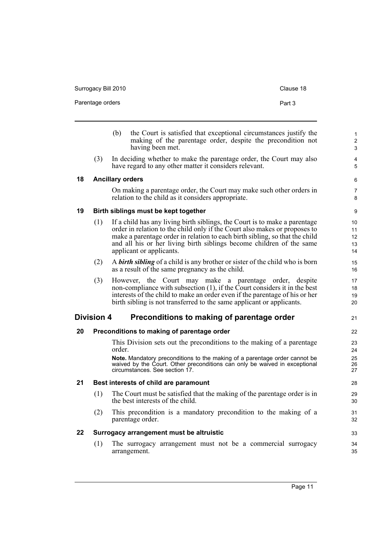<span id="page-26-5"></span><span id="page-26-4"></span><span id="page-26-3"></span><span id="page-26-2"></span><span id="page-26-1"></span><span id="page-26-0"></span>

|    | Parentage orders  |                                                                                                                                                                                                                                                                                                                                             | Part 3 |
|----|-------------------|---------------------------------------------------------------------------------------------------------------------------------------------------------------------------------------------------------------------------------------------------------------------------------------------------------------------------------------------|--------|
|    |                   | the Court is satisfied that exceptional circumstances justify the<br>(b)<br>making of the parentage order, despite the precondition not<br>having been met.                                                                                                                                                                                 |        |
|    | (3)               | In deciding whether to make the parentage order, the Court may also<br>have regard to any other matter it considers relevant.                                                                                                                                                                                                               |        |
| 18 |                   | <b>Ancillary orders</b>                                                                                                                                                                                                                                                                                                                     |        |
|    |                   | On making a parentage order, the Court may make such other orders in<br>relation to the child as it considers appropriate.                                                                                                                                                                                                                  |        |
| 19 |                   | Birth siblings must be kept together                                                                                                                                                                                                                                                                                                        |        |
|    | (1)               | If a child has any living birth siblings, the Court is to make a parentage<br>order in relation to the child only if the Court also makes or proposes to<br>make a parentage order in relation to each birth sibling, so that the child<br>and all his or her living birth siblings become children of the same<br>applicant or applicants. |        |
|    | (2)               | A <b>birth sibling</b> of a child is any brother or sister of the child who is born<br>as a result of the same pregnancy as the child.                                                                                                                                                                                                      |        |
|    | (3)               | However, the Court may make a parentage order, despite<br>non-compliance with subsection (1), if the Court considers it in the best<br>interests of the child to make an order even if the parentage of his or her<br>birth sibling is not transferred to the same applicant or applicants.                                                 |        |
|    | <b>Division 4</b> | Preconditions to making of parentage order                                                                                                                                                                                                                                                                                                  |        |
| 20 |                   | Preconditions to making of parentage order                                                                                                                                                                                                                                                                                                  |        |
|    |                   | This Division sets out the preconditions to the making of a parentage<br>order.<br>Note. Mandatory preconditions to the making of a parentage order cannot be<br>waived by the Court. Other preconditions can only be waived in exceptional<br>circumstances. See section 17.                                                               |        |
| 21 |                   | Best interests of child are paramount                                                                                                                                                                                                                                                                                                       |        |
|    | (1)               | The Court must be satisfied that the making of the parentage order is in<br>the best interests of the child.                                                                                                                                                                                                                                |        |
|    | (2)               | This precondition is a mandatory precondition to the making of a                                                                                                                                                                                                                                                                            |        |
|    |                   | parentage order.                                                                                                                                                                                                                                                                                                                            |        |
| 22 |                   | Surrogacy arrangement must be altruistic                                                                                                                                                                                                                                                                                                    |        |

Surrogacy Bill 2010 Clause 18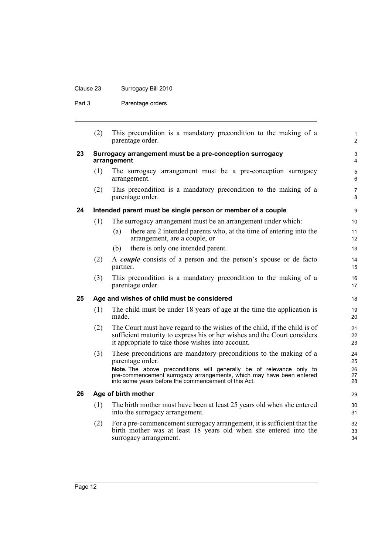## Clause 23 Surrogacy Bill 2010

Part 3 Parentage orders

<span id="page-27-3"></span><span id="page-27-2"></span><span id="page-27-1"></span><span id="page-27-0"></span>

|    | (2) | This precondition is a mandatory precondition to the making of a<br>parentage order.                                                                                                                       | $\mathbf{1}$<br>$\overline{2}$ |
|----|-----|------------------------------------------------------------------------------------------------------------------------------------------------------------------------------------------------------------|--------------------------------|
| 23 |     | Surrogacy arrangement must be a pre-conception surrogacy<br>arrangement                                                                                                                                    | 3<br>4                         |
|    | (1) | The surrogacy arrangement must be a pre-conception surrogacy<br>arrangement.                                                                                                                               | $\mathbf 5$<br>6               |
|    | (2) | This precondition is a mandatory precondition to the making of a<br>parentage order.                                                                                                                       | $\overline{7}$<br>8            |
| 24 |     | Intended parent must be single person or member of a couple                                                                                                                                                | 9                              |
|    | (1) | The surrogacy arrangement must be an arrangement under which:                                                                                                                                              | 10                             |
|    |     | there are 2 intended parents who, at the time of entering into the<br>(a)<br>arrangement, are a couple, or                                                                                                 | 11<br>$12 \overline{ }$        |
|    |     | there is only one intended parent.<br>(b)                                                                                                                                                                  | 13                             |
|    | (2) | A <i>couple</i> consists of a person and the person's spouse or de facto<br>partner.                                                                                                                       | 14<br>15                       |
|    | (3) | This precondition is a mandatory precondition to the making of a<br>parentage order.                                                                                                                       | 16<br>17                       |
| 25 |     | Age and wishes of child must be considered                                                                                                                                                                 | 18                             |
|    | (1) | The child must be under 18 years of age at the time the application is<br>made.                                                                                                                            | 19<br>20                       |
|    | (2) | The Court must have regard to the wishes of the child, if the child is of<br>sufficient maturity to express his or her wishes and the Court considers<br>it appropriate to take those wishes into account. | 21<br>22<br>23                 |
|    | (3) | These preconditions are mandatory preconditions to the making of a<br>parentage order.                                                                                                                     | 24<br>25                       |
|    |     | Note. The above preconditions will generally be of relevance only to<br>pre-commencement surrogacy arrangements, which may have been entered<br>into some years before the commencement of this Act.       | 26<br>27<br>28                 |
| 26 |     | Age of birth mother                                                                                                                                                                                        | 29                             |
|    | (1) | The birth mother must have been at least 25 years old when she entered<br>into the surrogacy arrangement.                                                                                                  | 30<br>31                       |
|    | (2) | For a pre-commencement surrogacy arrangement, it is sufficient that the<br>birth mother was at least 18 years old when she entered into the<br>surrogacy arrangement.                                      | 32<br>33<br>34                 |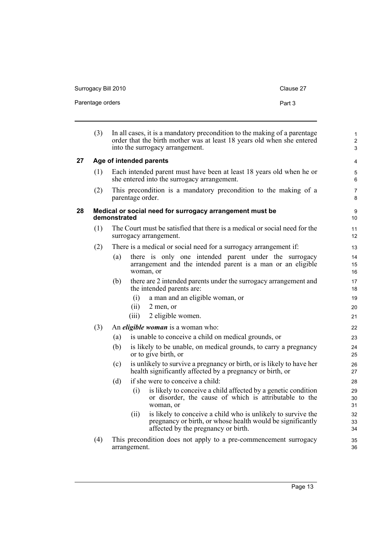<span id="page-28-1"></span><span id="page-28-0"></span>

|    | Parentage orders |              | Part 3                                                                                                                                                                                 |                                   |
|----|------------------|--------------|----------------------------------------------------------------------------------------------------------------------------------------------------------------------------------------|-----------------------------------|
|    | (3)              |              | In all cases, it is a mandatory precondition to the making of a parentage<br>order that the birth mother was at least 18 years old when she entered<br>into the surrogacy arrangement. | 1<br>$\overline{\mathbf{c}}$<br>3 |
| 27 |                  |              | Age of intended parents                                                                                                                                                                | 4                                 |
|    | (1)              |              | Each intended parent must have been at least 18 years old when he or<br>she entered into the surrogacy arrangement.                                                                    | 5<br>6                            |
|    | (2)              |              | This precondition is a mandatory precondition to the making of a<br>parentage order.                                                                                                   | 7<br>8                            |
| 28 |                  | demonstrated | Medical or social need for surrogacy arrangement must be                                                                                                                               | 9<br>10                           |
|    | (1)              |              | The Court must be satisfied that there is a medical or social need for the<br>surrogacy arrangement.                                                                                   | 11<br>12                          |
|    | (2)              |              | There is a medical or social need for a surrogacy arrangement if:                                                                                                                      | 13                                |
|    |                  | (a)          | there is only one intended parent under the surrogacy<br>arrangement and the intended parent is a man or an eligible<br>woman, or                                                      | 14<br>15<br>16                    |
|    |                  | (b)          | there are 2 intended parents under the surrogacy arrangement and<br>the intended parents are:                                                                                          | 17<br>18                          |
|    |                  |              | a man and an eligible woman, or<br>(i)                                                                                                                                                 | 19                                |
|    |                  |              | (ii)<br>2 men, or                                                                                                                                                                      | 20                                |
|    |                  |              | 2 eligible women.<br>(iii)                                                                                                                                                             | 21                                |
|    | (3)              |              | An <i>eligible woman</i> is a woman who:                                                                                                                                               | 22                                |
|    |                  | (a)          | is unable to conceive a child on medical grounds, or                                                                                                                                   | 23                                |
|    |                  | (b)          | is likely to be unable, on medical grounds, to carry a pregnancy<br>or to give birth, or                                                                                               | 24<br>25                          |
|    |                  | (c)          | is unlikely to survive a pregnancy or birth, or is likely to have her<br>health significantly affected by a pregnancy or birth, or                                                     | 26<br>27                          |
|    |                  | (d)          | if she were to conceive a child:                                                                                                                                                       | 28                                |
|    |                  |              | is likely to conceive a child affected by a genetic condition<br>(i)<br>or disorder, the cause of which is attributable to the<br>woman, or                                            | 29<br>30<br>31                    |
|    |                  |              | is likely to conceive a child who is unlikely to survive the<br>(i)<br>pregnancy or birth, or whose health would be significantly<br>affected by the pregnancy or birth.               | 32<br>33<br>34                    |
|    | (4)              |              | This precondition does not apply to a pre-commencement surrogacy<br>arrangement.                                                                                                       | 35<br>36                          |

Surrogacy Bill 2010 Clause 27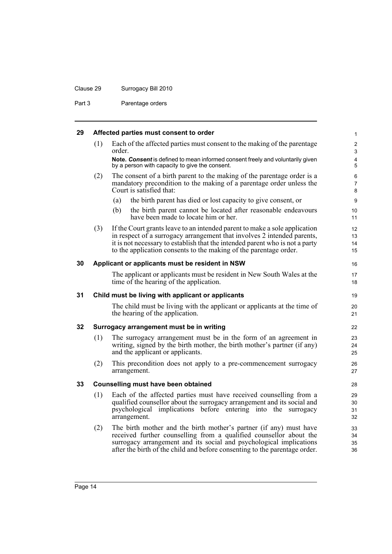## Clause 29 Surrogacy Bill 2010

Part 3 Parentage orders

<span id="page-29-0"></span>

| 29 | Affected parties must consent to order |  |  |  |  |
|----|----------------------------------------|--|--|--|--|
|----|----------------------------------------|--|--|--|--|

<span id="page-29-4"></span><span id="page-29-3"></span><span id="page-29-2"></span><span id="page-29-1"></span>

|    | (1) | Each of the affected parties must consent to the making of the parentage<br>order.                                                                                                                                                                                                                         | $\boldsymbol{2}$<br>3        |
|----|-----|------------------------------------------------------------------------------------------------------------------------------------------------------------------------------------------------------------------------------------------------------------------------------------------------------------|------------------------------|
|    |     | Note. Consent is defined to mean informed consent freely and voluntarily given<br>by a person with capacity to give the consent.                                                                                                                                                                           | $\overline{\mathbf{4}}$<br>5 |
|    | (2) | The consent of a birth parent to the making of the parentage order is a<br>mandatory precondition to the making of a parentage order unless the<br>Court is satisfied that:                                                                                                                                | 6<br>$\overline{7}$<br>8     |
|    |     | the birth parent has died or lost capacity to give consent, or<br>(a)                                                                                                                                                                                                                                      | $\boldsymbol{9}$             |
|    |     | the birth parent cannot be located after reasonable endeavours<br>(b)<br>have been made to locate him or her.                                                                                                                                                                                              | 10<br>11                     |
|    | (3) | If the Court grants leave to an intended parent to make a sole application<br>in respect of a surrogacy arrangement that involves 2 intended parents,<br>it is not necessary to establish that the intended parent who is not a party<br>to the application consents to the making of the parentage order. | 12<br>13<br>14<br>15         |
| 30 |     | Applicant or applicants must be resident in NSW                                                                                                                                                                                                                                                            | 16                           |
|    |     | The applicant or applicants must be resident in New South Wales at the<br>time of the hearing of the application.                                                                                                                                                                                          | 17<br>18                     |
| 31 |     | Child must be living with applicant or applicants                                                                                                                                                                                                                                                          | 19                           |
|    |     | The child must be living with the applicant or applicants at the time of<br>the hearing of the application.                                                                                                                                                                                                | 20<br>21                     |
| 32 |     | Surrogacy arrangement must be in writing                                                                                                                                                                                                                                                                   | 22                           |
|    | (1) | The surrogacy arrangement must be in the form of an agreement in<br>writing, signed by the birth mother, the birth mother's partner (if any)<br>and the applicant or applicants.                                                                                                                           | 23<br>24<br>25               |
|    | (2) | This precondition does not apply to a pre-commencement surrogacy<br>arrangement.                                                                                                                                                                                                                           | 26<br>27                     |
| 33 |     | Counselling must have been obtained                                                                                                                                                                                                                                                                        | 28                           |
|    | (1) | Each of the affected parties must have received counselling from a<br>qualified counsellor about the surrogacy arrangement and its social and<br>psychological implications before entering into the surrogacy<br>arrangement.                                                                             | 29<br>30<br>31<br>32         |
|    | (2) | The birth mother and the birth mother's partner (if any) must have<br>received further counselling from a qualified counsellor about the<br>surrogacy arrangement and its social and psychological implications<br>after the birth of the child and before consenting to the parentage order.              | 33<br>34<br>35<br>36         |
|    |     |                                                                                                                                                                                                                                                                                                            |                              |

1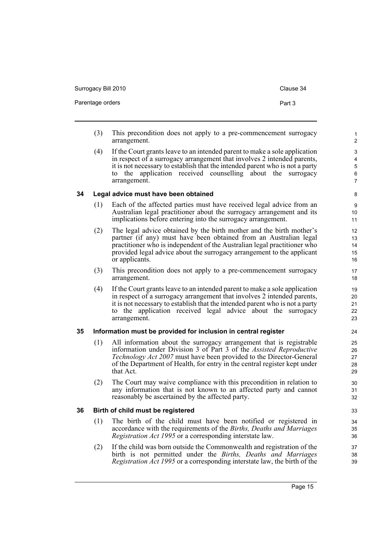Surrogacy Bill 2010 Clause 34

- 
- (3) This precondition does not apply to a pre-commencement surrogacy arrangement.
- (4) If the Court grants leave to an intended parent to make a sole application in respect of a surrogacy arrangement that involves 2 intended parents, it is not necessary to establish that the intended parent who is not a party to the application received counselling about the surrogacy arrangement.

#### <span id="page-30-0"></span>**34 Legal advice must have been obtained**

- (1) Each of the affected parties must have received legal advice from an Australian legal practitioner about the surrogacy arrangement and its implications before entering into the surrogacy arrangement.
- (2) The legal advice obtained by the birth mother and the birth mother's partner (if any) must have been obtained from an Australian legal practitioner who is independent of the Australian legal practitioner who provided legal advice about the surrogacy arrangement to the applicant or applicants.
- (3) This precondition does not apply to a pre-commencement surrogacy arrangement.
- (4) If the Court grants leave to an intended parent to make a sole application in respect of a surrogacy arrangement that involves 2 intended parents, it is not necessary to establish that the intended parent who is not a party to the application received legal advice about the surrogacy arrangement.

#### <span id="page-30-1"></span>**35 Information must be provided for inclusion in central register**

- (1) All information about the surrogacy arrangement that is registrable information under Division 3 of Part 3 of the *Assisted Reproductive Technology Act 2007* must have been provided to the Director-General of the Department of Health, for entry in the central register kept under that Act.
- (2) The Court may waive compliance with this precondition in relation to any information that is not known to an affected party and cannot reasonably be ascertained by the affected party.

#### <span id="page-30-2"></span>**36 Birth of child must be registered**

- (1) The birth of the child must have been notified or registered in accordance with the requirements of the *Births, Deaths and Marriages Registration Act 1995* or a corresponding interstate law.
- (2) If the child was born outside the Commonwealth and registration of the birth is not permitted under the *Births, Deaths and Marriages Registration Act 1995* or a corresponding interstate law, the birth of the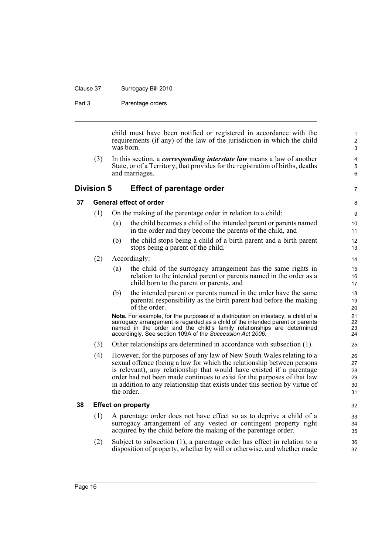#### Clause 37 Surrogacy Bill 2010

Part 3 **Parentage orders** 

child must have been notified or registered in accordance with the requirements (if any) of the law of the jurisdiction in which the child was born.

7

(3) In this section, a *corresponding interstate law* means a law of another State, or of a Territory, that provides for the registration of births, deaths and marriages.

#### <span id="page-31-0"></span>**Division 5 Effect of parentage order**

#### <span id="page-31-1"></span>**37 General effect of order**

- (1) On the making of the parentage order in relation to a child:
	- (a) the child becomes a child of the intended parent or parents named in the order and they become the parents of the child, and
	- (b) the child stops being a child of a birth parent and a birth parent stops being a parent of the child.
- (2) Accordingly:
	- (a) the child of the surrogacy arrangement has the same rights in relation to the intended parent or parents named in the order as a child born to the parent or parents, and
	- (b) the intended parent or parents named in the order have the same parental responsibility as the birth parent had before the making of the order.

**Note.** For example, for the purposes of a distribution on intestacy, a child of a surrogacy arrangement is regarded as a child of the intended parent or parents named in the order and the child's family relationships are determined accordingly. See section 109A of the *Succession Act 2006*.

- (3) Other relationships are determined in accordance with subsection (1).
- (4) However, for the purposes of any law of New South Wales relating to a sexual offence (being a law for which the relationship between persons is relevant), any relationship that would have existed if a parentage order had not been made continues to exist for the purposes of that law in addition to any relationship that exists under this section by virtue of the order.

#### <span id="page-31-2"></span>**38 Effect on property**

- (1) A parentage order does not have effect so as to deprive a child of a surrogacy arrangement of any vested or contingent property right acquired by the child before the making of the parentage order.
- (2) Subject to subsection (1), a parentage order has effect in relation to a disposition of property, whether by will or otherwise, and whether made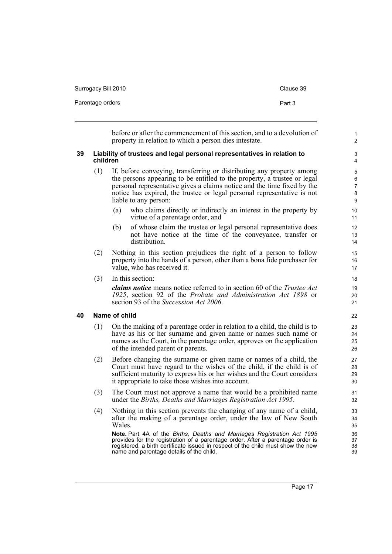| Surrogacy Bill 2010 | Clause 39 |
|---------------------|-----------|
| Parentage orders    | Part 3    |

before or after the commencement of this section, and to a devolution of property in relation to which a person dies intestate.

#### <span id="page-32-0"></span>**39 Liability of trustees and legal personal representatives in relation to children**

- (1) If, before conveying, transferring or distributing any property among the persons appearing to be entitled to the property, a trustee or legal personal representative gives a claims notice and the time fixed by the notice has expired, the trustee or legal personal representative is not liable to any person:
	- (a) who claims directly or indirectly an interest in the property by virtue of a parentage order, and
	- (b) of whose claim the trustee or legal personal representative does not have notice at the time of the conveyance, transfer or distribution.
- (2) Nothing in this section prejudices the right of a person to follow property into the hands of a person, other than a bona fide purchaser for value, who has received it.
- (3) In this section:

*claims notice* means notice referred to in section 60 of the *Trustee Act 1925*, section 92 of the *Probate and Administration Act 1898* or section 93 of the *Succession Act 2006*.

#### <span id="page-32-1"></span>**40 Name of child**

- (1) On the making of a parentage order in relation to a child, the child is to have as his or her surname and given name or names such name or names as the Court, in the parentage order, approves on the application of the intended parent or parents.
- (2) Before changing the surname or given name or names of a child, the Court must have regard to the wishes of the child, if the child is of sufficient maturity to express his or her wishes and the Court considers it appropriate to take those wishes into account.
- (3) The Court must not approve a name that would be a prohibited name under the *Births, Deaths and Marriages Registration Act 1995*.
- (4) Nothing in this section prevents the changing of any name of a child, after the making of a parentage order, under the law of New South Wales.

**Note.** Part 4A of the *Births, Deaths and Marriages Registration Act 1995* provides for the registration of a parentage order. After a parentage order is registered, a birth certificate issued in respect of the child must show the new name and parentage details of the child.

1  $\overline{2}$ 

3 4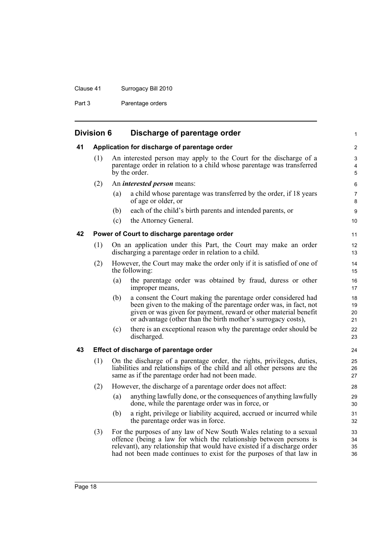## Clause 41 Surrogacy Bill 2010

Part 3 Parentage orders

<span id="page-33-3"></span><span id="page-33-2"></span><span id="page-33-1"></span><span id="page-33-0"></span>

| <b>Division 6</b> |     |     | Discharge of parentage order                                                                                                                                                                                                                                                                  | 1                    |
|-------------------|-----|-----|-----------------------------------------------------------------------------------------------------------------------------------------------------------------------------------------------------------------------------------------------------------------------------------------------|----------------------|
| 41                |     |     | Application for discharge of parentage order                                                                                                                                                                                                                                                  | $\overline{c}$       |
|                   | (1) |     | An interested person may apply to the Court for the discharge of a<br>parentage order in relation to a child whose parentage was transferred<br>by the order.                                                                                                                                 | 3<br>4<br>5          |
|                   | (2) |     | An <i>interested person</i> means:                                                                                                                                                                                                                                                            | 6                    |
|                   |     | (a) | a child whose parentage was transferred by the order, if 18 years<br>of age or older, or                                                                                                                                                                                                      | 7<br>8               |
|                   |     | (b) | each of the child's birth parents and intended parents, or                                                                                                                                                                                                                                    | $\boldsymbol{9}$     |
|                   |     | (c) | the Attorney General.                                                                                                                                                                                                                                                                         | 10                   |
| 42                |     |     | Power of Court to discharge parentage order                                                                                                                                                                                                                                                   | 11                   |
|                   | (1) |     | On an application under this Part, the Court may make an order<br>discharging a parentage order in relation to a child.                                                                                                                                                                       | 12<br>13             |
|                   | (2) |     | However, the Court may make the order only if it is satisfied of one of<br>the following:                                                                                                                                                                                                     | 14<br>15             |
|                   |     | (a) | the parentage order was obtained by fraud, duress or other<br>improper means,                                                                                                                                                                                                                 | 16<br>17             |
|                   |     | (b) | a consent the Court making the parentage order considered had<br>been given to the making of the parentage order was, in fact, not<br>given or was given for payment, reward or other material benefit<br>or advantage (other than the birth mother's surrogacy costs),                       | 18<br>19<br>20<br>21 |
|                   |     | (c) | there is an exceptional reason why the parentage order should be<br>discharged.                                                                                                                                                                                                               | 22<br>23             |
| 43                |     |     | Effect of discharge of parentage order                                                                                                                                                                                                                                                        | 24                   |
|                   | (1) |     | On the discharge of a parentage order, the rights, privileges, duties,<br>liabilities and relationships of the child and all other persons are the<br>same as if the parentage order had not been made.                                                                                       | 25<br>26<br>27       |
|                   | (2) |     | However, the discharge of a parentage order does not affect:                                                                                                                                                                                                                                  | 28                   |
|                   |     | (a) | anything lawfully done, or the consequences of anything lawfully<br>done, while the parentage order was in force, or                                                                                                                                                                          | 29<br>30             |
|                   |     | (b) | a right, privilege or liability acquired, accrued or incurred while<br>the parentage order was in force.                                                                                                                                                                                      | 31<br>32             |
|                   | (3) |     | For the purposes of any law of New South Wales relating to a sexual<br>offence (being a law for which the relationship between persons is<br>relevant), any relationship that would have existed if a discharge order<br>had not been made continues to exist for the purposes of that law in | 33<br>34<br>35<br>36 |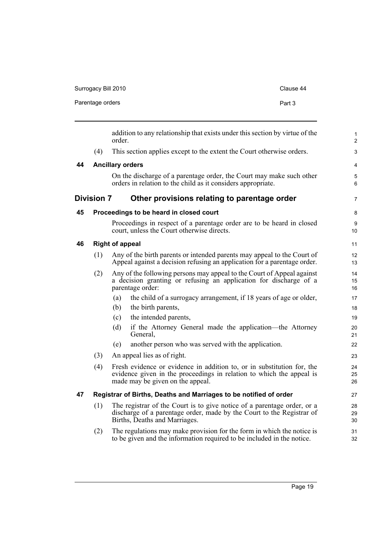| Surrogacy Bill 2010 | Clause 44 |
|---------------------|-----------|
| Parentage orders    | Part 3    |

<span id="page-34-4"></span><span id="page-34-3"></span><span id="page-34-2"></span><span id="page-34-1"></span><span id="page-34-0"></span>

|    |                   | order.                 | addition to any relationship that exists under this section by virtue of the                                                                                                       | $\mathbf{1}$<br>2      |
|----|-------------------|------------------------|------------------------------------------------------------------------------------------------------------------------------------------------------------------------------------|------------------------|
|    | (4)               |                        | This section applies except to the extent the Court otherwise orders.                                                                                                              | $\mathfrak{S}$         |
| 44 |                   |                        | <b>Ancillary orders</b>                                                                                                                                                            | 4                      |
|    |                   |                        | On the discharge of a parentage order, the Court may make such other<br>orders in relation to the child as it considers appropriate.                                               | $\mathbf 5$<br>6       |
|    | <b>Division 7</b> |                        | Other provisions relating to parentage order                                                                                                                                       | $\overline{7}$         |
| 45 |                   |                        | Proceedings to be heard in closed court                                                                                                                                            | $\bf 8$                |
|    |                   |                        | Proceedings in respect of a parentage order are to be heard in closed<br>court, unless the Court otherwise directs.                                                                | $\boldsymbol{9}$<br>10 |
| 46 |                   | <b>Right of appeal</b> |                                                                                                                                                                                    | 11                     |
|    | (1)               |                        | Any of the birth parents or intended parents may appeal to the Court of<br>Appeal against a decision refusing an application for a parentage order.                                | 12<br>13               |
|    | (2)               |                        | Any of the following persons may appeal to the Court of Appeal against<br>a decision granting or refusing an application for discharge of a<br>parentage order:                    | 14<br>15<br>16         |
|    |                   | (a)                    | the child of a surrogacy arrangement, if 18 years of age or older,                                                                                                                 | 17                     |
|    |                   | (b)                    | the birth parents,                                                                                                                                                                 | 18                     |
|    |                   | (c)                    | the intended parents,                                                                                                                                                              | 19                     |
|    |                   | (d)                    | if the Attorney General made the application—the Attorney<br>General,                                                                                                              | 20<br>21               |
|    |                   | (e)                    | another person who was served with the application.                                                                                                                                | 22                     |
|    | (3)               |                        | An appeal lies as of right.                                                                                                                                                        | 23                     |
|    | (4)               |                        | Fresh evidence or evidence in addition to, or in substitution for, the<br>evidence given in the proceedings in relation to which the appeal is<br>made may be given on the appeal. | 24<br>25<br>26         |
| 47 |                   |                        | Registrar of Births, Deaths and Marriages to be notified of order                                                                                                                  | 27                     |
|    | (1)               |                        | The registrar of the Court is to give notice of a parentage order, or a<br>discharge of a parentage order, made by the Court to the Registrar of<br>Births, Deaths and Marriages.  | 28<br>29<br>30         |
|    | (2)               |                        | The regulations may make provision for the form in which the notice is<br>to be given and the information required to be included in the notice.                                   | 31<br>32               |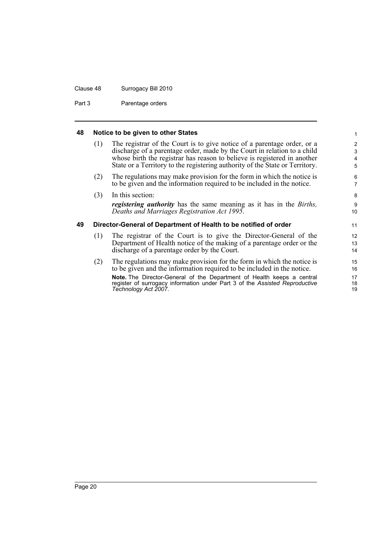#### Clause 48 Surrogacy Bill 2010

Part 3 **Parentage orders** 

#### <span id="page-35-0"></span>**48 Notice to be given to other States**

| (1) | The registrar of the Court is to give notice of a parentage order, or a      |
|-----|------------------------------------------------------------------------------|
|     | discharge of a parentage order, made by the Court in relation to a child     |
|     | whose birth the registrar has reason to believe is registered in another     |
|     | State or a Territory to the registering authority of the State or Territory. |
|     |                                                                              |

(2) The regulations may make provision for the form in which the notice is to be given and the information required to be included in the notice.

| (3) | . In this section:                                                                 |
|-----|------------------------------------------------------------------------------------|
|     | <i>registering authority</i> has the same meaning as it has in the <i>Births</i> , |
|     | Deaths and Marriages Registration Act 1995.                                        |

#### <span id="page-35-1"></span>**49 Director-General of Department of Health to be notified of order**

- (1) The registrar of the Court is to give the Director-General of the Department of Health notice of the making of a parentage order or the discharge of a parentage order by the Court.
- (2) The regulations may make provision for the form in which the notice is to be given and the information required to be included in the notice. **Note.** The Director-General of the Department of Health keeps a central register of surrogacy information under Part 3 of the *Assisted Reproductive Technology Act 2007*.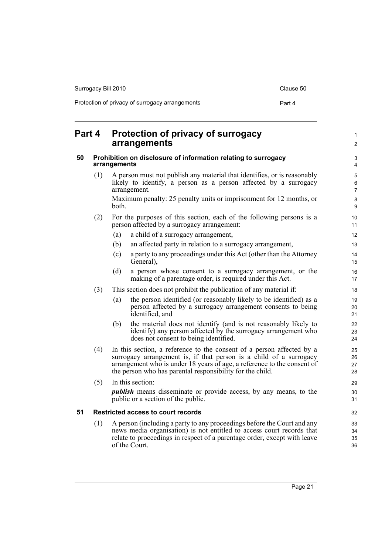| Surrogacy Bill 2010                             | Clause 50 |
|-------------------------------------------------|-----------|
| Protection of privacy of surrogacy arrangements | Part 4    |

#### <span id="page-36-2"></span><span id="page-36-1"></span><span id="page-36-0"></span>**Part 4 Protection of privacy of surrogacy arrangements 50 Prohibition on disclosure of information relating to surrogacy arrangements** (1) A person must not publish any material that identifies, or is reasonably likely to identify, a person as a person affected by a surrogacy arrangement. Maximum penalty: 25 penalty units or imprisonment for 12 months, or both. (2) For the purposes of this section, each of the following persons is a person affected by a surrogacy arrangement: (a) a child of a surrogacy arrangement, (b) an affected party in relation to a surrogacy arrangement, (c) a party to any proceedings under this Act (other than the Attorney General), (d) a person whose consent to a surrogacy arrangement, or the making of a parentage order, is required under this Act. (3) This section does not prohibit the publication of any material if: (a) the person identified (or reasonably likely to be identified) as a person affected by a surrogacy arrangement consents to being identified, and (b) the material does not identify (and is not reasonably likely to identify) any person affected by the surrogacy arrangement who does not consent to being identified. (4) In this section, a reference to the consent of a person affected by a surrogacy arrangement is, if that person is a child of a surrogacy arrangement who is under 18 years of age, a reference to the consent of the person who has parental responsibility for the child. (5) In this section: *publish* means disseminate or provide access, by any means, to the public or a section of the public. **51 Restricted access to court records** (1) A person (including a party to any proceedings before the Court and any news media organisation) is not entitled to access court records that relate to proceedings in respect of a parentage order, except with leave of the Court. 10 11 12 13 14 15 16 17 18 19 20 21 22 23 24 25 26 27 28 29 30 31 32 33 34 35 36

1  $\mathfrak{p}$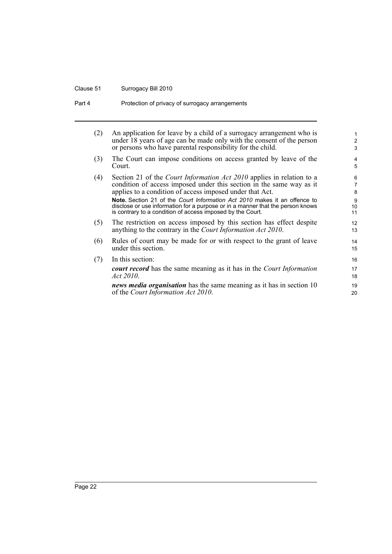## Clause 51 Surrogacy Bill 2010

| (2) | An application for leave by a child of a surrogacy arrangement who is<br>under 18 years of age can be made only with the consent of the person<br>or persons who have parental responsibility for the child.                            | $\mathbf{1}$<br>2<br>3 |
|-----|-----------------------------------------------------------------------------------------------------------------------------------------------------------------------------------------------------------------------------------------|------------------------|
| (3) | The Court can impose conditions on access granted by leave of the<br>Court.                                                                                                                                                             | 4<br>5                 |
| (4) | Section 21 of the <i>Court Information Act 2010</i> applies in relation to a<br>condition of access imposed under this section in the same way as it<br>applies to a condition of access imposed under that Act.                        | 6<br>7<br>8            |
|     | <b>Note.</b> Section 21 of the <i>Court Information Act 2010</i> makes it an offence to<br>disclose or use information for a purpose or in a manner that the person knows<br>is contrary to a condition of access imposed by the Court. | 9<br>10<br>11          |
| (5) | The restriction on access imposed by this section has effect despite<br>anything to the contrary in the <i>Court Information Act 2010</i> .                                                                                             | 12<br>13               |
| (6) | Rules of court may be made for or with respect to the grant of leave<br>under this section.                                                                                                                                             | 14<br>15               |
| (7) | In this section:                                                                                                                                                                                                                        | 16                     |
|     | <b>court record</b> has the same meaning as it has in the Court Information<br>Act 2010.                                                                                                                                                | 17<br>18               |
|     | <i>news media organisation</i> has the same meaning as it has in section 10<br>of the Court Information Act 2010.                                                                                                                       | 19<br>20               |
|     |                                                                                                                                                                                                                                         |                        |

Part 4 **Protection of privacy of surrogacy arrangements**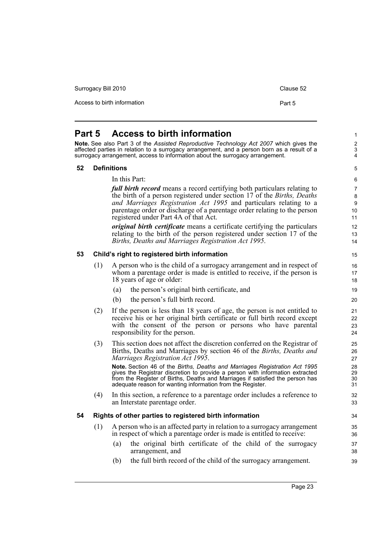<span id="page-38-2"></span><span id="page-38-1"></span><span id="page-38-0"></span>Access to birth information **Part 5 Part 5 Access to birth information Note.** See also Part 3 of the *Assisted Reproductive Technology Act 2007* which gives the affected parties in relation to a surrogacy arrangement, and a person born as a result of a surrogacy arrangement, access to information about the surrogacy arrangement. **52 Definitions** In this Part: *full birth record* means a record certifying both particulars relating to the birth of a person registered under section 17 of the *Births, Deaths and Marriages Registration Act 1995* and particulars relating to a parentage order or discharge of a parentage order relating to the person registered under Part 4A of that Act. *original birth certificate* means a certificate certifying the particulars relating to the birth of the person registered under section 17 of the *Births, Deaths and Marriages Registration Act 1995*. **53 Child's right to registered birth information** (1) A person who is the child of a surrogacy arrangement and in respect of whom a parentage order is made is entitled to receive, if the person is 18 years of age or older: (a) the person's original birth certificate, and (b) the person's full birth record. (2) If the person is less than 18 years of age, the person is not entitled to receive his or her original birth certificate or full birth record except with the consent of the person or persons who have parental responsibility for the person. (3) This section does not affect the discretion conferred on the Registrar of Births, Deaths and Marriages by section 46 of the *Births, Deaths and Marriages Registration Act 1995*. **Note.** Section 46 of the *Births, Deaths and Marriages Registration Act 1995* gives the Registrar discretion to provide a person with information extracted from the Register of Births, Deaths and Marriages if satisfied the person has adequate reason for wanting information from the Register. (4) In this section, a reference to a parentage order includes a reference to an Interstate parentage order. **54 Rights of other parties to registered birth information** (1) A person who is an affected party in relation to a surrogacy arrangement in respect of which a parentage order is made is entitled to receive:

Surrogacy Bill 2010 Clause 52

- <span id="page-38-3"></span>(a) the original birth certificate of the child of the surrogacy arrangement, and
- (b) the full birth record of the child of the surrogacy arrangement.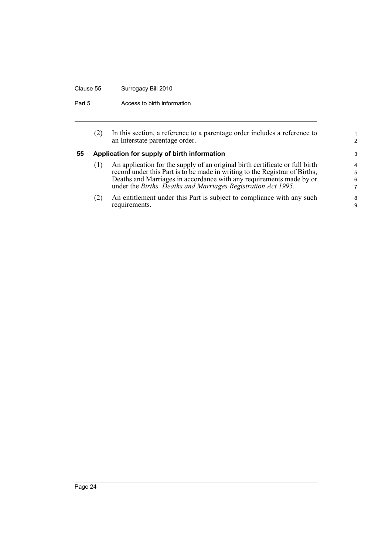## Clause 55 Surrogacy Bill 2010

Part 5 **Access to birth information** 

<span id="page-39-0"></span>

|    | (2) | In this section, a reference to a parentage order includes a reference to<br>an Interstate parentage order.                                                                                                                                                                                         | $\mathcal{P}$    |
|----|-----|-----------------------------------------------------------------------------------------------------------------------------------------------------------------------------------------------------------------------------------------------------------------------------------------------------|------------------|
| 55 |     | Application for supply of birth information                                                                                                                                                                                                                                                         | 3                |
|    | (1) | An application for the supply of an original birth certificate or full birth<br>record under this Part is to be made in writing to the Registrar of Births,<br>Deaths and Marriages in accordance with any requirements made by or<br>under the Births, Deaths and Marriages Registration Act 1995. | 4<br>5<br>6<br>7 |
|    | (2) | An entitlement under this Part is subject to compliance with any such<br>requirements.                                                                                                                                                                                                              | 8<br>9           |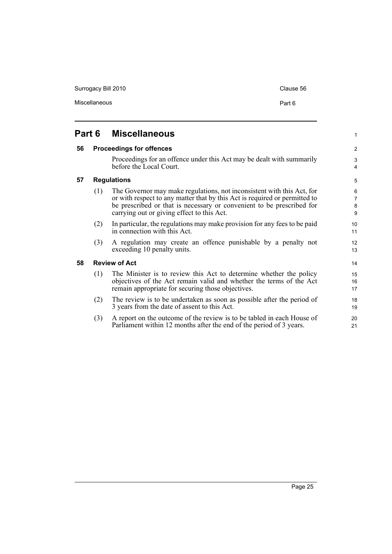Surrogacy Bill 2010 Clause 56

1

2 3 4

## <span id="page-40-0"></span>**Part 6 Miscellaneous**

#### <span id="page-40-1"></span>**56 Proceedings for offences**

Proceedings for an offence under this Act may be dealt with summarily before the Local Court.

#### <span id="page-40-2"></span>**57 Regulations**

- (1) The Governor may make regulations, not inconsistent with this Act, for or with respect to any matter that by this Act is required or permitted to be prescribed or that is necessary or convenient to be prescribed for carrying out or giving effect to this Act.
- (2) In particular, the regulations may make provision for any fees to be paid in connection with this Act.
- (3) A regulation may create an offence punishable by a penalty not exceeding 10 penalty units.

#### <span id="page-40-3"></span>**58 Review of Act**

- (1) The Minister is to review this Act to determine whether the policy objectives of the Act remain valid and whether the terms of the Act remain appropriate for securing those objectives.
- (2) The review is to be undertaken as soon as possible after the period of 3 years from the date of assent to this Act.
- (3) A report on the outcome of the review is to be tabled in each House of Parliament within 12 months after the end of the period of 3 years.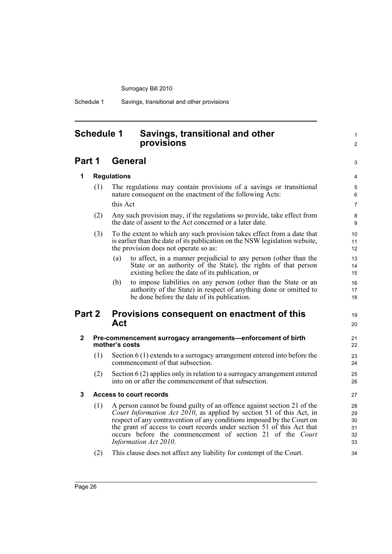Schedule 1 Savings, transitional and other provisions

## <span id="page-41-0"></span>**Schedule 1 Savings, transitional and other provisions**

## **Part 1 General**

**1 Regulations**

3 4 5

19  $20$ 

1  $\mathfrak{p}$ 

#### (1) The regulations may contain provisions of a savings or transitional nature consequent on the enactment of the following Acts: this Act

- (2) Any such provision may, if the regulations so provide, take effect from the date of assent to the Act concerned or a later date.
- (3) To the extent to which any such provision takes effect from a date that is earlier than the date of its publication on the NSW legislation website, the provision does not operate so as:
	- (a) to affect, in a manner prejudicial to any person (other than the State or an authority of the State), the rights of that person existing before the date of its publication, or
	- (b) to impose liabilities on any person (other than the State or an authority of the State) in respect of anything done or omitted to be done before the date of its publication.

## **Part 2 Provisions consequent on enactment of this Act**

#### **2 Pre-commencement surrogacy arrangements—enforcement of birth mother's costs**

- (1) Section 6 (1) extends to a surrogacy arrangement entered into before the commencement of that subsection.
- (2) Section 6 (2) applies only in relation to a surrogacy arrangement entered into on or after the commencement of that subsection.

#### **3 Access to court records**

- (1) A person cannot be found guilty of an offence against section 21 of the *Court Information Act 2010*, as applied by section 51 of this Act, in respect of any contravention of any conditions imposed by the Court on the grant of access to court records under section 51 of this Act that occurs before the commencement of section 21 of the *Court Information Act 2010*.
- (2) This clause does not affect any liability for contempt of the Court.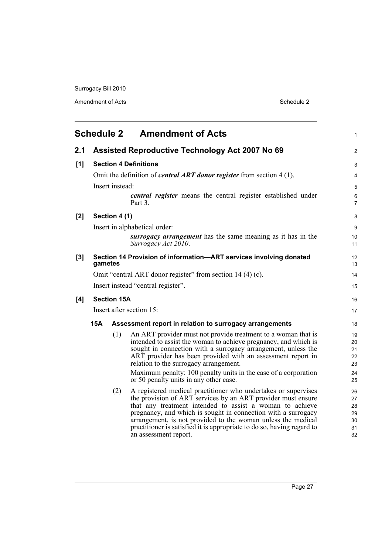Amendment of Acts Schedule 2

<span id="page-42-0"></span>

|       | <b>Schedule 2</b><br><b>Amendment of Acts</b> |                    |                                                                                                                                                                                                                                                                                                                                                                                                                                |                                        |  |  |
|-------|-----------------------------------------------|--------------------|--------------------------------------------------------------------------------------------------------------------------------------------------------------------------------------------------------------------------------------------------------------------------------------------------------------------------------------------------------------------------------------------------------------------------------|----------------------------------------|--|--|
| 2.1   |                                               |                    | <b>Assisted Reproductive Technology Act 2007 No 69</b>                                                                                                                                                                                                                                                                                                                                                                         | 2                                      |  |  |
| [1]   |                                               |                    | <b>Section 4 Definitions</b>                                                                                                                                                                                                                                                                                                                                                                                                   | 3                                      |  |  |
|       |                                               |                    | Omit the definition of <i>central ART donor register</i> from section $4(1)$ .                                                                                                                                                                                                                                                                                                                                                 | $\overline{4}$                         |  |  |
|       |                                               | Insert instead:    |                                                                                                                                                                                                                                                                                                                                                                                                                                | 5                                      |  |  |
|       |                                               |                    | <i>central register</i> means the central register established under<br>Part 3.                                                                                                                                                                                                                                                                                                                                                | $\,6\,$<br>$\overline{7}$              |  |  |
| $[2]$ |                                               | Section 4 (1)      |                                                                                                                                                                                                                                                                                                                                                                                                                                | 8                                      |  |  |
|       |                                               |                    | Insert in alphabetical order:                                                                                                                                                                                                                                                                                                                                                                                                  | 9                                      |  |  |
|       |                                               |                    | surrogacy arrangement has the same meaning as it has in the<br>Surrogacy Act 2010.                                                                                                                                                                                                                                                                                                                                             | 10<br>11                               |  |  |
| $[3]$ | gametes                                       |                    | Section 14 Provision of information-ART services involving donated                                                                                                                                                                                                                                                                                                                                                             | 12<br>13                               |  |  |
|       |                                               |                    | Omit "central ART donor register" from section 14 (4) (c).                                                                                                                                                                                                                                                                                                                                                                     | 14                                     |  |  |
|       |                                               |                    | Insert instead "central register".                                                                                                                                                                                                                                                                                                                                                                                             | 15                                     |  |  |
| [4]   |                                               | <b>Section 15A</b> |                                                                                                                                                                                                                                                                                                                                                                                                                                | 16                                     |  |  |
|       | Insert after section 15:                      |                    |                                                                                                                                                                                                                                                                                                                                                                                                                                |                                        |  |  |
|       | 15A                                           |                    | Assessment report in relation to surrogacy arrangements                                                                                                                                                                                                                                                                                                                                                                        | 18                                     |  |  |
|       |                                               | (1)                | An ART provider must not provide treatment to a woman that is<br>intended to assist the woman to achieve pregnancy, and which is<br>sought in connection with a surrogacy arrangement, unless the<br>ART provider has been provided with an assessment report in<br>relation to the surrogacy arrangement.<br>Maximum penalty: 100 penalty units in the case of a corporation<br>or 50 penalty units in any other case.        | 19<br>20<br>21<br>22<br>23<br>24<br>25 |  |  |
|       |                                               | (2)                | A registered medical practitioner who undertakes or supervises<br>the provision of ART services by an ART provider must ensure<br>that any treatment intended to assist a woman to achieve<br>pregnancy, and which is sought in connection with a surrogacy<br>arrangement, is not provided to the woman unless the medical<br>practitioner is satisfied it is appropriate to do so, having regard to<br>an assessment report. | 26<br>27<br>28<br>29<br>30<br>31<br>32 |  |  |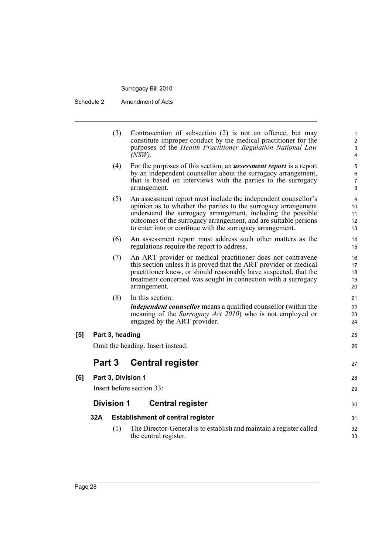Schedule 2 Amendment of Acts

|     |        | (3)               | Contravention of subsection (2) is not an offence, but may<br>constitute improper conduct by the medical practitioner for the<br>purposes of the Health Practitioner Regulation National Law<br>$(NSW)$ .                                                                                                                        | $\mathbf{1}$<br>$\overline{2}$<br>$\ensuremath{\mathsf{3}}$<br>4 |
|-----|--------|-------------------|----------------------------------------------------------------------------------------------------------------------------------------------------------------------------------------------------------------------------------------------------------------------------------------------------------------------------------|------------------------------------------------------------------|
|     |        | (4)               | For the purposes of this section, an <b>assessment report</b> is a report<br>by an independent counsellor about the surrogacy arrangement,<br>that is based on interviews with the parties to the surrogacy<br>arrangement.                                                                                                      | $\mathbf 5$<br>$\,6$<br>7<br>8                                   |
|     |        | (5)               | An assessment report must include the independent counsellor's<br>opinion as to whether the parties to the surrogacy arrangement<br>understand the surrogacy arrangement, including the possible<br>outcomes of the surrogacy arrangement, and are suitable persons<br>to enter into or continue with the surrogacy arrangement. | 9<br>10<br>11<br>12<br>13                                        |
|     |        | (6)               | An assessment report must address such other matters as the<br>regulations require the report to address.                                                                                                                                                                                                                        | 14<br>15                                                         |
|     |        | (7)               | An ART provider or medical practitioner does not contravene<br>this section unless it is proved that the ART provider or medical<br>practitioner knew, or should reasonably have suspected, that the<br>treatment concerned was sought in connection with a surrogacy<br>arrangement.                                            | 16<br>17<br>18<br>19<br>20                                       |
|     |        | (8)               | In this section:<br><i>independent counsellor</i> means a qualified counsellor (within the<br>meaning of the <i>Surrogacy Act 2010</i> ) who is not employed or<br>engaged by the ART provider.                                                                                                                                  | 21<br>22<br>23<br>24                                             |
| [5] |        | Part 3, heading   |                                                                                                                                                                                                                                                                                                                                  | 25                                                               |
|     |        |                   | Omit the heading. Insert instead:                                                                                                                                                                                                                                                                                                | 26                                                               |
|     | Part 3 |                   | <b>Central register</b>                                                                                                                                                                                                                                                                                                          | 27                                                               |
| [6] |        |                   | Part 3, Division 1                                                                                                                                                                                                                                                                                                               | 28                                                               |
|     |        |                   | Insert before section 33:                                                                                                                                                                                                                                                                                                        | 29                                                               |
|     |        | <b>Division 1</b> | <b>Central register</b>                                                                                                                                                                                                                                                                                                          | 30                                                               |
|     | 32A    |                   | <b>Establishment of central register</b>                                                                                                                                                                                                                                                                                         | 31                                                               |
|     |        | (1)               | The Director-General is to establish and maintain a register called<br>the central register.                                                                                                                                                                                                                                     | 32<br>33                                                         |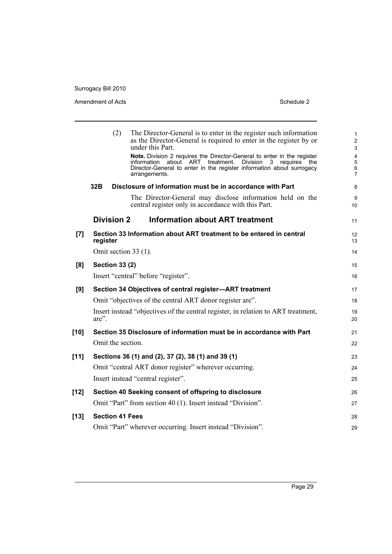#### Amendment of Acts Schedule 2

|        | (2)<br>The Director-General is to enter in the register such information<br>as the Director-General is required to enter in the register by or<br>under this Part.<br>Note. Division 2 requires the Director-General to enter in the register<br>about ART treatment.<br>information<br>Division<br>3<br>requires<br>the<br>Director-General to enter in the register information about surrogacy<br>arrangements. | $\mathbf{1}$<br>$\overline{2}$<br>$\mathfrak{S}$<br>4<br>5<br>$\,6\,$<br>$\overline{7}$ |
|--------|--------------------------------------------------------------------------------------------------------------------------------------------------------------------------------------------------------------------------------------------------------------------------------------------------------------------------------------------------------------------------------------------------------------------|-----------------------------------------------------------------------------------------|
|        | 32B<br>Disclosure of information must be in accordance with Part                                                                                                                                                                                                                                                                                                                                                   | 8                                                                                       |
|        | The Director-General may disclose information held on the<br>central register only in accordance with this Part.                                                                                                                                                                                                                                                                                                   | 9<br>10                                                                                 |
|        | <b>Division 2</b><br><b>Information about ART treatment</b>                                                                                                                                                                                                                                                                                                                                                        | 11                                                                                      |
| [7]    | Section 33 Information about ART treatment to be entered in central<br>register                                                                                                                                                                                                                                                                                                                                    | 12<br>13                                                                                |
|        | Omit section 33 (1).                                                                                                                                                                                                                                                                                                                                                                                               | 14                                                                                      |
| [8]    | <b>Section 33 (2)</b>                                                                                                                                                                                                                                                                                                                                                                                              | 15                                                                                      |
|        | Insert "central" before "register".                                                                                                                                                                                                                                                                                                                                                                                | 16                                                                                      |
| [9]    | Section 34 Objectives of central register-ART treatment                                                                                                                                                                                                                                                                                                                                                            | 17                                                                                      |
|        | Omit "objectives of the central ART donor register are".                                                                                                                                                                                                                                                                                                                                                           | 18                                                                                      |
|        | Insert instead "objectives of the central register, in relation to ART treatment,<br>$are$ ".                                                                                                                                                                                                                                                                                                                      | 19<br>20                                                                                |
| [10]   | Section 35 Disclosure of information must be in accordance with Part                                                                                                                                                                                                                                                                                                                                               | 21                                                                                      |
|        | Omit the section.                                                                                                                                                                                                                                                                                                                                                                                                  | 22                                                                                      |
| $[11]$ | Sections 36 (1) and (2), 37 (2), 38 (1) and 39 (1)                                                                                                                                                                                                                                                                                                                                                                 | 23                                                                                      |
|        | Omit "central ART donor register" wherever occurring.                                                                                                                                                                                                                                                                                                                                                              | 24                                                                                      |
|        | Insert instead "central register".                                                                                                                                                                                                                                                                                                                                                                                 | 25                                                                                      |
| [12]   | Section 40 Seeking consent of offspring to disclosure                                                                                                                                                                                                                                                                                                                                                              | 26                                                                                      |
|        | Omit "Part" from section 40 (1). Insert instead "Division".                                                                                                                                                                                                                                                                                                                                                        | 27                                                                                      |
| $[13]$ | <b>Section 41 Fees</b>                                                                                                                                                                                                                                                                                                                                                                                             | 28                                                                                      |
|        | Omit "Part" wherever occurring. Insert instead "Division".                                                                                                                                                                                                                                                                                                                                                         | 29                                                                                      |
|        |                                                                                                                                                                                                                                                                                                                                                                                                                    |                                                                                         |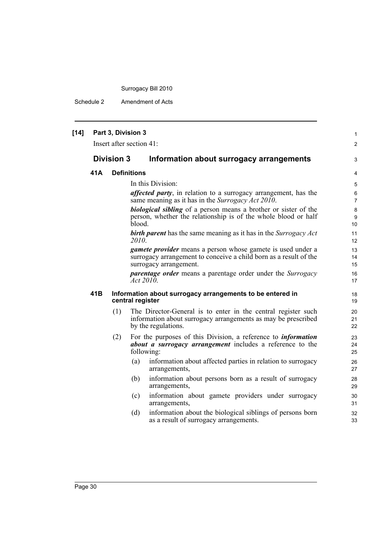Schedule 2 Amendment of Acts

| $[14]$ |     | Part 3, Division 3 | Insert after section 41:                                                                                                                                          | $\mathbf{1}$<br>$\overline{2}$ |
|--------|-----|--------------------|-------------------------------------------------------------------------------------------------------------------------------------------------------------------|--------------------------------|
|        |     | <b>Division 3</b>  | Information about surrogacy arrangements                                                                                                                          | 3                              |
|        | 41A |                    | <b>Definitions</b>                                                                                                                                                | 4                              |
|        |     |                    | In this Division:                                                                                                                                                 | 5                              |
|        |     |                    | <i>affected party</i> , in relation to a surrogacy arrangement, has the<br>same meaning as it has in the Surrogacy Act 2010.                                      | 6<br>7                         |
|        |     |                    | <b>biological sibling</b> of a person means a brother or sister of the<br>person, whether the relationship is of the whole blood or half<br>blood.                | $\bf 8$<br>9<br>10             |
|        |     |                    | <b>birth parent</b> has the same meaning as it has in the Surrogacy Act<br>2010.                                                                                  | 11<br>12                       |
|        |     |                    | <i>gamete provider</i> means a person whose gamete is used under a<br>surrogacy arrangement to conceive a child born as a result of the<br>surrogacy arrangement. | 13<br>14<br>15                 |
|        |     |                    | <i>parentage order</i> means a parentage order under the <i>Surrogacy</i><br>Act 2010                                                                             | 16<br>17                       |
|        | 41B |                    | Information about surrogacy arrangements to be entered in<br>central register                                                                                     | 18<br>19                       |
|        |     | (1)                | The Director-General is to enter in the central register such<br>information about surrogacy arrangements as may be prescribed<br>by the regulations.             | 20<br>21<br>22                 |
|        |     | (2)                | For the purposes of this Division, a reference to <i>information</i><br><i>about a surrogacy arrangement</i> includes a reference to the<br>following:            | 23<br>24<br>25                 |
|        |     |                    | information about affected parties in relation to surrogacy<br>(a)<br>arrangements,                                                                               | 26<br>27                       |
|        |     |                    | information about persons born as a result of surrogacy<br>(b)<br>arrangements,                                                                                   | 28<br>29                       |
|        |     |                    | information about gamete providers under surrogacy<br>(c)<br>arrangements,                                                                                        | 30<br>31                       |
|        |     |                    | information about the biological siblings of persons born<br>(d)<br>as a result of surrogacy arrangements.                                                        | 32<br>33                       |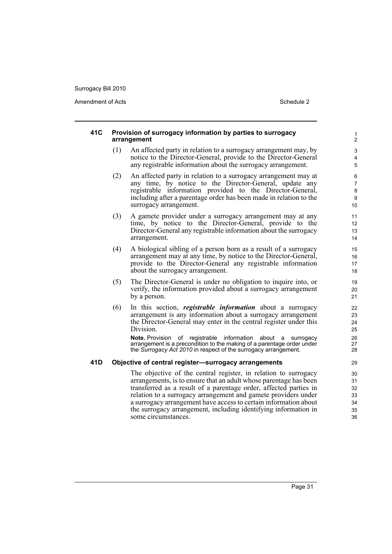Amendment of Acts **Schedule 2** and the 2

#### **41C Provision of surrogacy information by parties to surrogacy arrangement**

- (1) An affected party in relation to a surrogacy arrangement may, by notice to the Director-General, provide to the Director-General any registrable information about the surrogacy arrangement.
- (2) An affected party in relation to a surrogacy arrangement may at any time, by notice to the Director-General, update any registrable information provided to the Director-General, including after a parentage order has been made in relation to the surrogacy arrangement.
- (3) A gamete provider under a surrogacy arrangement may at any time, by notice to the Director-General, provide to the Director-General any registrable information about the surrogacy arrangement.
- (4) A biological sibling of a person born as a result of a surrogacy arrangement may at any time, by notice to the Director-General, provide to the Director-General any registrable information about the surrogacy arrangement.
- (5) The Director-General is under no obligation to inquire into, or verify, the information provided about a surrogacy arrangement by a person.
- (6) In this section, *registrable information* about a surrogacy arrangement is any information about a surrogacy arrangement the Director-General may enter in the central register under this Division.

**Note.** Provision of registrable information about a surrogacy arrangement is a precondition to the making of a parentage order under the *Surrogacy Act 2010* in respect of the surrogacy arrangement.

#### **41D Objective of central register—surrogacy arrangements**

The objective of the central register, in relation to surrogacy arrangements, is to ensure that an adult whose parentage has been transferred as a result of a parentage order, affected parties in relation to a surrogacy arrangement and gamete providers under a surrogacy arrangement have access to certain information about the surrogacy arrangement, including identifying information in some circumstances.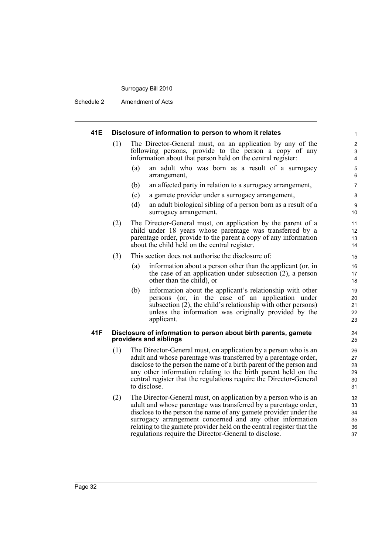Schedule 2 Amendment of Acts

#### **41E Disclosure of information to person to whom it relates** (1) The Director-General must, on an application by any of the following persons, provide to the person a copy of any information about that person held on the central register: (a) an adult who was born as a result of a surrogacy arrangement, (b) an affected party in relation to a surrogacy arrangement, (c) a gamete provider under a surrogacy arrangement, (d) an adult biological sibling of a person born as a result of a surrogacy arrangement. (2) The Director-General must, on application by the parent of a child under 18 years whose parentage was transferred by a parentage order, provide to the parent a copy of any information about the child held on the central register. (3) This section does not authorise the disclosure of: (a) information about a person other than the applicant (or, in the case of an application under subsection  $(2)$ , a person other than the child), or (b) information about the applicant's relationship with other persons (or, in the case of an application under subsection (2), the child's relationship with other persons) unless the information was originally provided by the applicant. **41F Disclosure of information to person about birth parents, gamete providers and siblings** (1) The Director-General must, on application by a person who is an adult and whose parentage was transferred by a parentage order, disclose to the person the name of a birth parent of the person and any other information relating to the birth parent held on the central register that the regulations require the Director-General to disclose. (2) The Director-General must, on application by a person who is an adult and whose parentage was transferred by a parentage order, disclose to the person the name of any gamete provider under the surrogacy arrangement concerned and any other information 1 2 3 4 5 6 7 8 9 10 11 12 13 14 15 16 17 18 19 20 21 22 23 24 25 26 27 28 29 30 31 32 33 34 35

relating to the gamete provider held on the central register that the

36 37

regulations require the Director-General to disclose.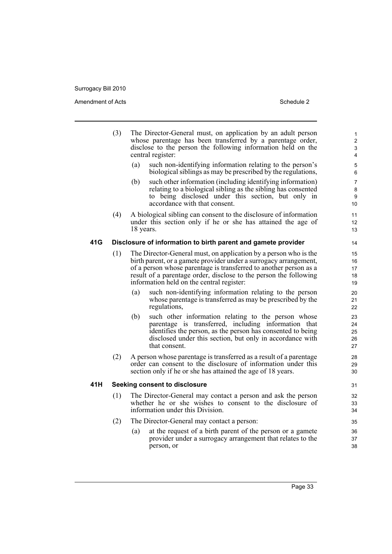|     | (3) |           | The Director-General must, on application by an adult person<br>whose parentage has been transferred by a parentage order,<br>disclose to the person the following information held on the<br>central register:                                                                                                              | 1<br>$\overline{2}$<br>3<br>4  |
|-----|-----|-----------|------------------------------------------------------------------------------------------------------------------------------------------------------------------------------------------------------------------------------------------------------------------------------------------------------------------------------|--------------------------------|
|     |     | (a)       | such non-identifying information relating to the person's<br>biological siblings as may be prescribed by the regulations,                                                                                                                                                                                                    | 5<br>6                         |
|     |     | (b)       | such other information (including identifying information)<br>relating to a biological sibling as the sibling has consented<br>to being disclosed under this section, but only in<br>accordance with that consent.                                                                                                           | $\overline{7}$<br>8<br>9<br>10 |
|     | (4) | 18 years. | A biological sibling can consent to the disclosure of information<br>under this section only if he or she has attained the age of                                                                                                                                                                                            | 11<br>12<br>13                 |
| 41G |     |           | Disclosure of information to birth parent and gamete provider                                                                                                                                                                                                                                                                | 14                             |
|     | (1) |           | The Director-General must, on application by a person who is the<br>birth parent, or a gamete provider under a surrogacy arrangement,<br>of a person whose parentage is transferred to another person as a<br>result of a parentage order, disclose to the person the following<br>information held on the central register: | 15<br>16<br>17<br>18<br>19     |
|     |     | (a)       | such non-identifying information relating to the person<br>whose parentage is transferred as may be prescribed by the<br>regulations,                                                                                                                                                                                        | 20<br>21<br>22                 |
|     |     | (b)       | such other information relating to the person whose<br>parentage is transferred, including information that<br>identifies the person, as the person has consented to being<br>disclosed under this section, but only in accordance with<br>that consent.                                                                     | 23<br>24<br>25<br>26<br>27     |
|     | (2) |           | A person whose parentage is transferred as a result of a parentage<br>order can consent to the disclosure of information under this<br>section only if he or she has attained the age of 18 years.                                                                                                                           | 28<br>29<br>30                 |
| 41H |     |           | <b>Seeking consent to disclosure</b>                                                                                                                                                                                                                                                                                         | 31                             |
|     | (1) |           | The Director-General may contact a person and ask the person<br>whether he or she wishes to consent to the disclosure of<br>information under this Division.                                                                                                                                                                 | 32<br>33<br>34                 |
|     | (2) |           | The Director-General may contact a person:                                                                                                                                                                                                                                                                                   | 35                             |
|     |     | (a)       | at the request of a birth parent of the person or a gamete<br>provider under a surrogacy arrangement that relates to the<br>person, or                                                                                                                                                                                       | 36<br>37<br>38                 |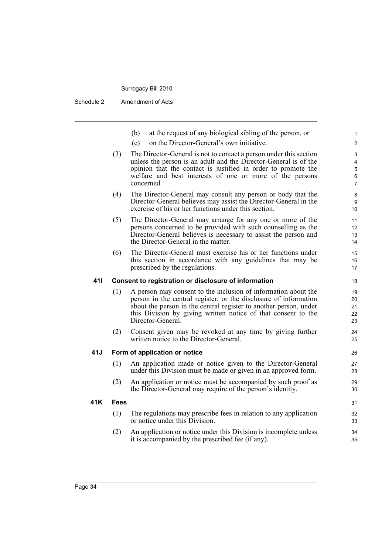Schedule 2 Amendment of Acts

|     |      | at the request of any biological sibling of the person, or<br>(b)                                                                                                                                                                                                                             | 1                                                                     |
|-----|------|-----------------------------------------------------------------------------------------------------------------------------------------------------------------------------------------------------------------------------------------------------------------------------------------------|-----------------------------------------------------------------------|
|     |      | on the Director-General's own initiative.<br>(c)                                                                                                                                                                                                                                              | $\overline{2}$                                                        |
|     | (3)  | The Director-General is not to contact a person under this section<br>unless the person is an adult and the Director-General is of the<br>opinion that the contact is justified in order to promote the<br>welfare and best interests of one or more of the persons<br>concerned.             | $\mathfrak{S}$<br>$\overline{\mathbf{4}}$<br>5<br>6<br>$\overline{7}$ |
|     | (4)  | The Director-General may consult any person or body that the<br>Director-General believes may assist the Director-General in the<br>exercise of his or her functions under this section.                                                                                                      | 8<br>9<br>10                                                          |
|     | (5)  | The Director-General may arrange for any one or more of the<br>persons concerned to be provided with such counselling as the<br>Director-General believes is necessary to assist the person and<br>the Director-General in the matter.                                                        | 11<br>12<br>13<br>14                                                  |
|     | (6)  | The Director-General must exercise his or her functions under<br>this section in accordance with any guidelines that may be<br>prescribed by the regulations.                                                                                                                                 | 15<br>16<br>17                                                        |
| 411 |      | Consent to registration or disclosure of information                                                                                                                                                                                                                                          | 18                                                                    |
|     | (1)  | A person may consent to the inclusion of information about the<br>person in the central register, or the disclosure of information<br>about the person in the central register to another person, under<br>this Division by giving written notice of that consent to the<br>Director-General. | 19<br>20<br>21<br>22<br>23                                            |
|     | (2)  | Consent given may be revoked at any time by giving further<br>written notice to the Director-General.                                                                                                                                                                                         | 24<br>25                                                              |
| 41J |      | Form of application or notice                                                                                                                                                                                                                                                                 | 26                                                                    |
|     | (1)  | An application made or notice given to the Director-General<br>under this Division must be made or given in an approved form.                                                                                                                                                                 | 27<br>28                                                              |
|     | (2)  | An application or notice must be accompanied by such proof as<br>the Director-General may require of the person's identity.                                                                                                                                                                   | 29<br>30                                                              |
| 41K | Fees |                                                                                                                                                                                                                                                                                               | 31                                                                    |
|     | (1)  | The regulations may prescribe fees in relation to any application<br>or notice under this Division.                                                                                                                                                                                           | 32<br>33                                                              |
|     | (2)  | An application or notice under this Division is incomplete unless                                                                                                                                                                                                                             | 34                                                                    |

it is accompanied by the prescribed fee (if any).

35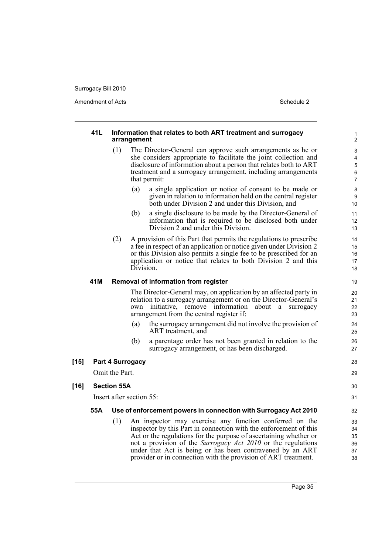Amendment of Acts Schedule 2

|        | 41L |                    | Information that relates to both ART treatment and surrogacy<br>arrangement                                                                                                                                                                                                                                                                                                                      | 1<br>$\overline{2}$                                      |
|--------|-----|--------------------|--------------------------------------------------------------------------------------------------------------------------------------------------------------------------------------------------------------------------------------------------------------------------------------------------------------------------------------------------------------------------------------------------|----------------------------------------------------------|
|        |     | (1)                | The Director-General can approve such arrangements as he or<br>she considers appropriate to facilitate the joint collection and<br>disclosure of information about a person that relates both to ART<br>treatment and a surrogacy arrangement, including arrangements<br>that permit:                                                                                                            | 3<br>$\overline{\mathbf{4}}$<br>5<br>6<br>$\overline{7}$ |
|        |     |                    | a single application or notice of consent to be made or<br>(a)<br>given in relation to information held on the central register<br>both under Division 2 and under this Division, and                                                                                                                                                                                                            | 8<br>9<br>10                                             |
|        |     |                    | a single disclosure to be made by the Director-General of<br>(b)<br>information that is required to be disclosed both under<br>Division 2 and under this Division.                                                                                                                                                                                                                               | 11<br>12<br>13                                           |
|        |     | (2)                | A provision of this Part that permits the regulations to prescribe<br>a fee in respect of an application or notice given under Division 2<br>or this Division also permits a single fee to be prescribed for an<br>application or notice that relates to both Division 2 and this<br>Division.                                                                                                   | 14<br>15<br>16<br>17<br>18                               |
|        | 41M |                    | Removal of information from register                                                                                                                                                                                                                                                                                                                                                             | 19                                                       |
|        |     |                    | The Director-General may, on application by an affected party in<br>relation to a surrogacy arrangement or on the Director-General's<br>initiative, remove information<br>own<br>about<br>a surrogacy<br>arrangement from the central register if:                                                                                                                                               | 20<br>21<br>22<br>23                                     |
|        |     |                    | the surrogacy arrangement did not involve the provision of<br>(a)<br>ART treatment, and                                                                                                                                                                                                                                                                                                          | 24<br>25                                                 |
|        |     |                    | (b)<br>a parentage order has not been granted in relation to the<br>surrogacy arrangement, or has been discharged.                                                                                                                                                                                                                                                                               | 26<br>27                                                 |
| $[15]$ |     |                    | <b>Part 4 Surrogacy</b>                                                                                                                                                                                                                                                                                                                                                                          | 28                                                       |
|        |     | Omit the Part.     |                                                                                                                                                                                                                                                                                                                                                                                                  | 29                                                       |
| $[16]$ |     | <b>Section 55A</b> |                                                                                                                                                                                                                                                                                                                                                                                                  | 30                                                       |
|        |     |                    | Insert after section 55:                                                                                                                                                                                                                                                                                                                                                                         | 31                                                       |
|        | 55A |                    | Use of enforcement powers in connection with Surrogacy Act 2010                                                                                                                                                                                                                                                                                                                                  | 32                                                       |
|        |     | (1)                | An inspector may exercise any function conferred on the<br>inspector by this Part in connection with the enforcement of this<br>Act or the regulations for the purpose of ascertaining whether or<br>not a provision of the Surrogacy Act 2010 or the regulations<br>under that Act is being or has been contravened by an ART<br>provider or in connection with the provision of ART treatment. | 33<br>34<br>35<br>36<br>37<br>38                         |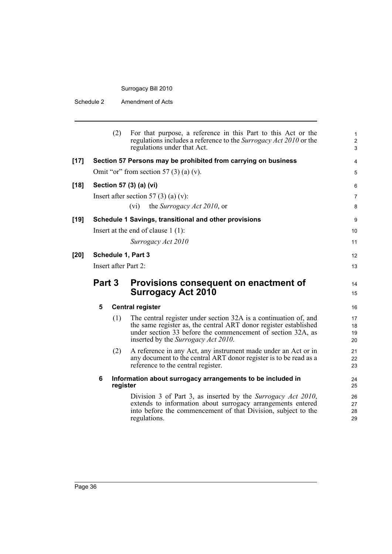Schedule 2 Amendment of Acts

| (2)<br>For that purpose, a reference in this Part to this Act or the<br>regulations includes a reference to the Surrogacy Act 2010 or the<br>regulations under that Act.<br>$[17]$<br>Section 57 Persons may be prohibited from carrying on business<br>Omit "or" from section 57 $(3)$ (a) (v).<br>Section 57 (3) (a) (vi)<br>$[18]$<br>Insert after section 57 (3) (a) (v):<br>the Surrogacy Act 2010, or<br>(vi)<br>$[19]$<br>Schedule 1 Savings, transitional and other provisions<br>Insert at the end of clause $1(1)$ :<br>Surrogacy Act 2010<br>Schedule 1, Part 3<br>[20]<br>Insert after Part 2:<br>Part 3<br>Provisions consequent on enactment of<br><b>Surrogacy Act 2010</b><br>5<br><b>Central register</b><br>(1)<br>The central register under section 32A is a continuation of, and<br>the same register as, the central ART donor register established<br>under section 33 before the commencement of section 32A, as<br>inserted by the <i>Surrogacy Act 2010</i> .<br>(2)<br>A reference in any Act, any instrument made under an Act or in<br>any document to the central ART donor register is to be read as a<br>reference to the central register.<br>6<br>Information about surrogacy arrangements to be included in<br>register<br>Division 3 of Part 3, as inserted by the Surrogacy Act 2010,<br>extends to information about surrogacy arrangements entered<br>into before the commencement of that Division, subject to the<br>regulations. |  |  |  |                                   |
|----------------------------------------------------------------------------------------------------------------------------------------------------------------------------------------------------------------------------------------------------------------------------------------------------------------------------------------------------------------------------------------------------------------------------------------------------------------------------------------------------------------------------------------------------------------------------------------------------------------------------------------------------------------------------------------------------------------------------------------------------------------------------------------------------------------------------------------------------------------------------------------------------------------------------------------------------------------------------------------------------------------------------------------------------------------------------------------------------------------------------------------------------------------------------------------------------------------------------------------------------------------------------------------------------------------------------------------------------------------------------------------------------------------------------------------------------------------------------|--|--|--|-----------------------------------|
|                                                                                                                                                                                                                                                                                                                                                                                                                                                                                                                                                                                                                                                                                                                                                                                                                                                                                                                                                                                                                                                                                                                                                                                                                                                                                                                                                                                                                                                                            |  |  |  | 1<br>$\overline{\mathbf{c}}$<br>3 |
|                                                                                                                                                                                                                                                                                                                                                                                                                                                                                                                                                                                                                                                                                                                                                                                                                                                                                                                                                                                                                                                                                                                                                                                                                                                                                                                                                                                                                                                                            |  |  |  | 4                                 |
|                                                                                                                                                                                                                                                                                                                                                                                                                                                                                                                                                                                                                                                                                                                                                                                                                                                                                                                                                                                                                                                                                                                                                                                                                                                                                                                                                                                                                                                                            |  |  |  | 5                                 |
|                                                                                                                                                                                                                                                                                                                                                                                                                                                                                                                                                                                                                                                                                                                                                                                                                                                                                                                                                                                                                                                                                                                                                                                                                                                                                                                                                                                                                                                                            |  |  |  | 6                                 |
|                                                                                                                                                                                                                                                                                                                                                                                                                                                                                                                                                                                                                                                                                                                                                                                                                                                                                                                                                                                                                                                                                                                                                                                                                                                                                                                                                                                                                                                                            |  |  |  | 7                                 |
|                                                                                                                                                                                                                                                                                                                                                                                                                                                                                                                                                                                                                                                                                                                                                                                                                                                                                                                                                                                                                                                                                                                                                                                                                                                                                                                                                                                                                                                                            |  |  |  | 8                                 |
|                                                                                                                                                                                                                                                                                                                                                                                                                                                                                                                                                                                                                                                                                                                                                                                                                                                                                                                                                                                                                                                                                                                                                                                                                                                                                                                                                                                                                                                                            |  |  |  | 9                                 |
|                                                                                                                                                                                                                                                                                                                                                                                                                                                                                                                                                                                                                                                                                                                                                                                                                                                                                                                                                                                                                                                                                                                                                                                                                                                                                                                                                                                                                                                                            |  |  |  | 10                                |
|                                                                                                                                                                                                                                                                                                                                                                                                                                                                                                                                                                                                                                                                                                                                                                                                                                                                                                                                                                                                                                                                                                                                                                                                                                                                                                                                                                                                                                                                            |  |  |  | 11                                |
|                                                                                                                                                                                                                                                                                                                                                                                                                                                                                                                                                                                                                                                                                                                                                                                                                                                                                                                                                                                                                                                                                                                                                                                                                                                                                                                                                                                                                                                                            |  |  |  | 12                                |
|                                                                                                                                                                                                                                                                                                                                                                                                                                                                                                                                                                                                                                                                                                                                                                                                                                                                                                                                                                                                                                                                                                                                                                                                                                                                                                                                                                                                                                                                            |  |  |  | 13                                |
|                                                                                                                                                                                                                                                                                                                                                                                                                                                                                                                                                                                                                                                                                                                                                                                                                                                                                                                                                                                                                                                                                                                                                                                                                                                                                                                                                                                                                                                                            |  |  |  | 14<br>15                          |
|                                                                                                                                                                                                                                                                                                                                                                                                                                                                                                                                                                                                                                                                                                                                                                                                                                                                                                                                                                                                                                                                                                                                                                                                                                                                                                                                                                                                                                                                            |  |  |  | 16                                |
|                                                                                                                                                                                                                                                                                                                                                                                                                                                                                                                                                                                                                                                                                                                                                                                                                                                                                                                                                                                                                                                                                                                                                                                                                                                                                                                                                                                                                                                                            |  |  |  | 17<br>18<br>19<br>20              |
|                                                                                                                                                                                                                                                                                                                                                                                                                                                                                                                                                                                                                                                                                                                                                                                                                                                                                                                                                                                                                                                                                                                                                                                                                                                                                                                                                                                                                                                                            |  |  |  | 21<br>22<br>23                    |
|                                                                                                                                                                                                                                                                                                                                                                                                                                                                                                                                                                                                                                                                                                                                                                                                                                                                                                                                                                                                                                                                                                                                                                                                                                                                                                                                                                                                                                                                            |  |  |  | 24<br>25                          |
|                                                                                                                                                                                                                                                                                                                                                                                                                                                                                                                                                                                                                                                                                                                                                                                                                                                                                                                                                                                                                                                                                                                                                                                                                                                                                                                                                                                                                                                                            |  |  |  | 26<br>27<br>28<br>29              |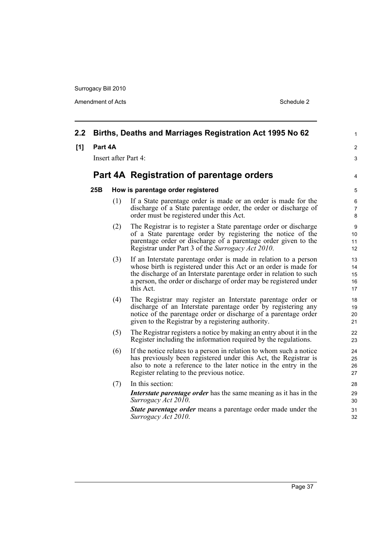Amendment of Acts Schedule 2

| 2.2 |         |                      | Births, Deaths and Marriages Registration Act 1995 No 62                                                                                                                                                                                                                                     | 1                          |
|-----|---------|----------------------|----------------------------------------------------------------------------------------------------------------------------------------------------------------------------------------------------------------------------------------------------------------------------------------------|----------------------------|
| [1] | Part 4A |                      |                                                                                                                                                                                                                                                                                              | $\overline{2}$             |
|     |         | Insert after Part 4: |                                                                                                                                                                                                                                                                                              | 3                          |
|     |         |                      | Part 4A Registration of parentage orders                                                                                                                                                                                                                                                     | 4                          |
|     | 25B     |                      | How is parentage order registered                                                                                                                                                                                                                                                            | 5                          |
|     |         | (1)                  | If a State parentage order is made or an order is made for the<br>discharge of a State parentage order, the order or discharge of<br>order must be registered under this Act.                                                                                                                | 6<br>$\overline{7}$<br>8   |
|     |         | (2)                  | The Registrar is to register a State parentage order or discharge<br>of a State parentage order by registering the notice of the<br>parentage order or discharge of a parentage order given to the<br>Registrar under Part 3 of the Surrogacy Act 2010.                                      | 9<br>10<br>11<br>12        |
|     |         | (3)                  | If an Interstate parentage order is made in relation to a person<br>whose birth is registered under this Act or an order is made for<br>the discharge of an Interstate parentage order in relation to such<br>a person, the order or discharge of order may be registered under<br>this Act. | 13<br>14<br>15<br>16<br>17 |
|     |         | (4)                  | The Registrar may register an Interstate parentage order or<br>discharge of an Interstate parentage order by registering any<br>notice of the parentage order or discharge of a parentage order<br>given to the Registrar by a registering authority.                                        | 18<br>19<br>20<br>21       |
|     |         | (5)                  | The Registrar registers a notice by making an entry about it in the<br>Register including the information required by the regulations.                                                                                                                                                       | 22<br>23                   |
|     |         | (6)                  | If the notice relates to a person in relation to whom such a notice<br>has previously been registered under this Act, the Registrar is<br>also to note a reference to the later notice in the entry in the<br>Register relating to the previous notice.                                      | 24<br>25<br>26<br>27       |
|     |         | (7)                  | In this section:                                                                                                                                                                                                                                                                             | 28                         |
|     |         |                      | <i>Interstate parentage order</i> has the same meaning as it has in the<br>Surrogacy Act 2010.                                                                                                                                                                                               | 29<br>30                   |
|     |         |                      | <b>State parentage order</b> means a parentage order made under the<br>Surrogacy Act 2010.                                                                                                                                                                                                   | 31<br>32                   |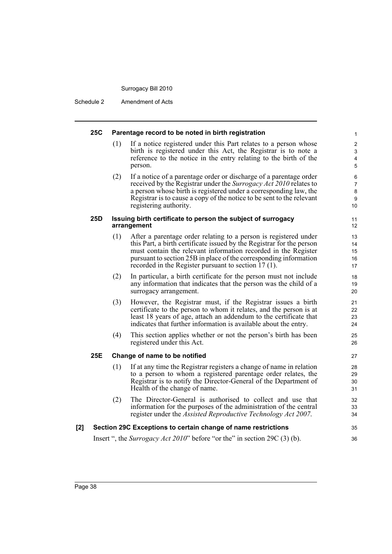Schedule 2 Amendment of Acts

#### **25C Parentage record to be noted in birth registration**

(1) If a notice registered under this Part relates to a person whose birth is registered under this Act, the Registrar is to note a reference to the notice in the entry relating to the birth of the person.

35 36

(2) If a notice of a parentage order or discharge of a parentage order received by the Registrar under the *Surrogacy Act 2010* relates to a person whose birth is registered under a corresponding law, the Registrar is to cause a copy of the notice to be sent to the relevant registering authority.

#### **25D Issuing birth certificate to person the subject of surrogacy arrangement**

- (1) After a parentage order relating to a person is registered under this Part, a birth certificate issued by the Registrar for the person must contain the relevant information recorded in the Register pursuant to section 25B in place of the corresponding information recorded in the Register pursuant to section 17 (1).
- (2) In particular, a birth certificate for the person must not include any information that indicates that the person was the child of a surrogacy arrangement.
- (3) However, the Registrar must, if the Registrar issues a birth certificate to the person to whom it relates, and the person is at least 18 years of age, attach an addendum to the certificate that indicates that further information is available about the entry.
- (4) This section applies whether or not the person's birth has been registered under this Act.

#### **25E Change of name to be notified**

- (1) If at any time the Registrar registers a change of name in relation to a person to whom a registered parentage order relates, the Registrar is to notify the Director-General of the Department of Health of the change of name.
- (2) The Director-General is authorised to collect and use that information for the purposes of the administration of the central register under the *Assisted Reproductive Technology Act 2007*.

### **[2] Section 29C Exceptions to certain change of name restrictions**

Insert ", the *Surrogacy Act 2010*" before "or the" in section 29C (3) (b).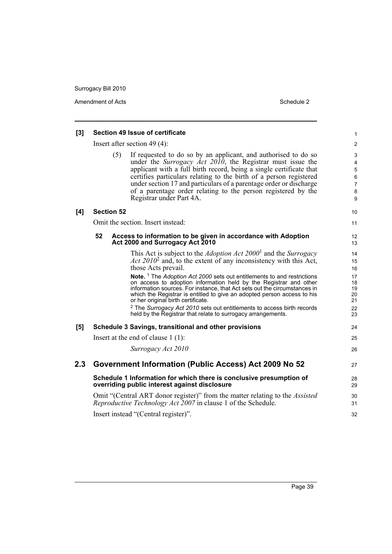Amendment of Acts Schedule 2

|     | Section 49 Issue of certificate                                                                                      |                                                                                                                                                         |                  |  |  |
|-----|----------------------------------------------------------------------------------------------------------------------|---------------------------------------------------------------------------------------------------------------------------------------------------------|------------------|--|--|
| [3] |                                                                                                                      |                                                                                                                                                         |                  |  |  |
|     | Insert after section 49 $(4)$ :                                                                                      |                                                                                                                                                         |                  |  |  |
|     | (5)                                                                                                                  | If requested to do so by an applicant, and authorised to do so                                                                                          | 3                |  |  |
|     |                                                                                                                      | under the <i>Surrogacy Act 2010</i> , the Registrar must issue the<br>applicant with a full birth record, being a single certificate that               | 4<br>$\mathbf 5$ |  |  |
|     |                                                                                                                      | certifies particulars relating to the birth of a person registered                                                                                      | 6                |  |  |
|     |                                                                                                                      | under section 17 and particulars of a parentage order or discharge                                                                                      | $\overline{7}$   |  |  |
|     |                                                                                                                      | of a parentage order relating to the person registered by the                                                                                           | 8                |  |  |
|     |                                                                                                                      | Registrar under Part 4A.                                                                                                                                | 9                |  |  |
| [4] | <b>Section 52</b>                                                                                                    |                                                                                                                                                         |                  |  |  |
|     | Omit the section. Insert instead:                                                                                    |                                                                                                                                                         |                  |  |  |
|     | 52                                                                                                                   | Access to information to be given in accordance with Adoption                                                                                           | 12               |  |  |
|     | Act 2000 and Surrogacy Act 2010                                                                                      |                                                                                                                                                         |                  |  |  |
|     |                                                                                                                      | This Act is subject to the <i>Adoption Act 2000</i> <sup>1</sup> and the <i>Surrogacy</i>                                                               | 14               |  |  |
|     |                                                                                                                      | Act $2010^2$ and, to the extent of any inconsistency with this Act,                                                                                     | 15               |  |  |
|     |                                                                                                                      | those Acts prevail.                                                                                                                                     | 16               |  |  |
|     |                                                                                                                      | Note. <sup>1</sup> The Adoption Act 2000 sets out entitlements to and restrictions<br>on access to adoption information held by the Registrar and other | 17<br>18         |  |  |
|     |                                                                                                                      | information sources. For instance, that Act sets out the circumstances in                                                                               | 19               |  |  |
|     |                                                                                                                      | which the Registrar is entitled to give an adopted person access to his<br>or her original birth certificate.                                           | 20<br>21         |  |  |
|     |                                                                                                                      | <sup>2</sup> The Surrogacy Act 2010 sets out entitlements to access birth records                                                                       | 22               |  |  |
|     |                                                                                                                      | held by the Registrar that relate to surrogacy arrangements.                                                                                            | 23               |  |  |
| [5] | Schedule 3 Savings, transitional and other provisions                                                                |                                                                                                                                                         |                  |  |  |
|     | Insert at the end of clause $1(1)$ :                                                                                 |                                                                                                                                                         |                  |  |  |
|     |                                                                                                                      | Surrogacy Act 2010                                                                                                                                      | 26               |  |  |
| 2.3 | <b>Government Information (Public Access) Act 2009 No 52</b>                                                         |                                                                                                                                                         |                  |  |  |
|     | Schedule 1 Information for which there is conclusive presumption of<br>overriding public interest against disclosure |                                                                                                                                                         |                  |  |  |
|     |                                                                                                                      | Omit "(Central ART donor register)" from the matter relating to the <i>Assisted</i><br>Reproductive Technology Act 2007 in clause 1 of the Schedule.    | 30<br>31         |  |  |
|     |                                                                                                                      | Insert instead "(Central register)".                                                                                                                    | 32               |  |  |
|     |                                                                                                                      |                                                                                                                                                         |                  |  |  |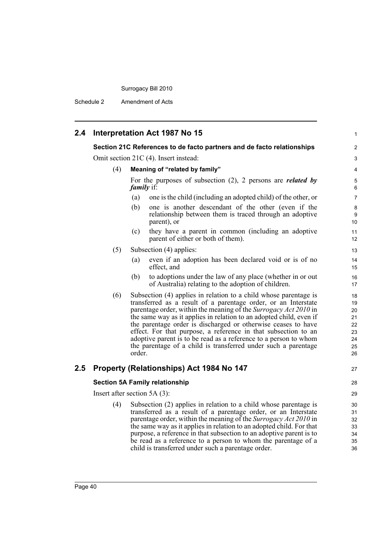Schedule 2 Amendment of Acts

| 2.4 |                                                                        | Interpretation Act 1987 No 15                                                                                                                                                                                                                                                                                                                                                                                                                                                                                                                                    | 1                         |  |  |
|-----|------------------------------------------------------------------------|------------------------------------------------------------------------------------------------------------------------------------------------------------------------------------------------------------------------------------------------------------------------------------------------------------------------------------------------------------------------------------------------------------------------------------------------------------------------------------------------------------------------------------------------------------------|---------------------------|--|--|
|     | Section 21C References to de facto partners and de facto relationships |                                                                                                                                                                                                                                                                                                                                                                                                                                                                                                                                                                  |                           |  |  |
|     |                                                                        | Omit section 21C (4). Insert instead:                                                                                                                                                                                                                                                                                                                                                                                                                                                                                                                            |                           |  |  |
|     | (4)                                                                    | Meaning of "related by family"                                                                                                                                                                                                                                                                                                                                                                                                                                                                                                                                   | $\overline{4}$            |  |  |
|     |                                                                        | For the purposes of subsection $(2)$ , 2 persons are <i>related by</i><br><i>family</i> if:                                                                                                                                                                                                                                                                                                                                                                                                                                                                      | 5<br>6                    |  |  |
|     |                                                                        | one is the child (including an adopted child) of the other, or<br>(a)                                                                                                                                                                                                                                                                                                                                                                                                                                                                                            | $\overline{7}$            |  |  |
|     |                                                                        | (b)<br>one is another descendant of the other (even if the<br>relationship between them is traced through an adoptive<br>parent), or                                                                                                                                                                                                                                                                                                                                                                                                                             | 8<br>9<br>10 <sup>°</sup> |  |  |
|     |                                                                        | (c)<br>they have a parent in common (including an adoptive<br>parent of either or both of them).                                                                                                                                                                                                                                                                                                                                                                                                                                                                 | 11<br>12                  |  |  |
|     | (5)                                                                    | Subsection (4) applies:                                                                                                                                                                                                                                                                                                                                                                                                                                                                                                                                          | 13                        |  |  |
|     |                                                                        | even if an adoption has been declared void or is of no<br>(a)<br>effect, and                                                                                                                                                                                                                                                                                                                                                                                                                                                                                     | 14<br>15                  |  |  |
|     |                                                                        | (b)<br>to adoptions under the law of any place (whether in or out<br>of Australia) relating to the adoption of children.                                                                                                                                                                                                                                                                                                                                                                                                                                         | 16<br>17                  |  |  |
|     | (6)                                                                    | Subsection (4) applies in relation to a child whose parentage is<br>transferred as a result of a parentage order, or an Interstate<br>parentage order, within the meaning of the Surrogacy Act 2010 in<br>the same way as it applies in relation to an adopted child, even if<br>the parentage order is discharged or otherwise ceases to have<br>effect. For that purpose, a reference in that subsection to an<br>adoptive parent is to be read as a reference to a person to whom<br>the parentage of a child is transferred under such a parentage<br>order. |                           |  |  |
| 2.5 |                                                                        | Property (Relationships) Act 1984 No 147                                                                                                                                                                                                                                                                                                                                                                                                                                                                                                                         | 27                        |  |  |
|     | <b>Section 5A Family relationship</b>                                  |                                                                                                                                                                                                                                                                                                                                                                                                                                                                                                                                                                  |                           |  |  |
|     | Insert after section $5A(3)$ :                                         |                                                                                                                                                                                                                                                                                                                                                                                                                                                                                                                                                                  |                           |  |  |
|     | (4)                                                                    | Subsection (2) applies in relation to a child whose parentage is<br>transferred as a result of a parentage order, or an Interstate<br>parentage order, within the meaning of the Surrogacy Act 2010 in<br>the same way as it applies in relation to an adopted child. For that<br>purpose, a reference in that subsection to an adoptive parent is to<br>be read as a reference to a person to whom the parentage of a<br>child is transferred under such a parentage order.                                                                                     |                           |  |  |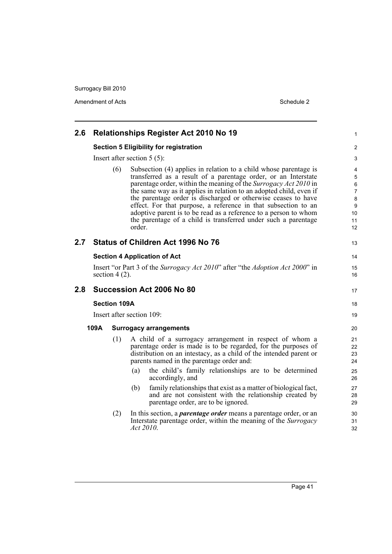Amendment of Acts Schedule 2

| 2.6 |                                                                                                   |     | <b>Relationships Register Act 2010 No 19</b>                                                                                                                                                                                                                                                                                                                                                                                                                                                                                                                     | 1                                                         |  |
|-----|---------------------------------------------------------------------------------------------------|-----|------------------------------------------------------------------------------------------------------------------------------------------------------------------------------------------------------------------------------------------------------------------------------------------------------------------------------------------------------------------------------------------------------------------------------------------------------------------------------------------------------------------------------------------------------------------|-----------------------------------------------------------|--|
|     | <b>Section 5 Eligibility for registration</b>                                                     |     |                                                                                                                                                                                                                                                                                                                                                                                                                                                                                                                                                                  |                                                           |  |
|     |                                                                                                   |     | Insert after section $5(5)$ :                                                                                                                                                                                                                                                                                                                                                                                                                                                                                                                                    | 3                                                         |  |
|     |                                                                                                   | (6) | Subsection (4) applies in relation to a child whose parentage is<br>transferred as a result of a parentage order, or an Interstate<br>parentage order, within the meaning of the Surrogacy Act 2010 in<br>the same way as it applies in relation to an adopted child, even if<br>the parentage order is discharged or otherwise ceases to have<br>effect. For that purpose, a reference in that subsection to an<br>adoptive parent is to be read as a reference to a person to whom<br>the parentage of a child is transferred under such a parentage<br>order. | 4<br>5<br>6<br>$\overline{7}$<br>8<br>9<br>10<br>11<br>12 |  |
| 2.7 |                                                                                                   |     | <b>Status of Children Act 1996 No 76</b>                                                                                                                                                                                                                                                                                                                                                                                                                                                                                                                         | 13                                                        |  |
|     |                                                                                                   |     | <b>Section 4 Application of Act</b>                                                                                                                                                                                                                                                                                                                                                                                                                                                                                                                              | 14                                                        |  |
|     | Insert "or Part 3 of the Surrogacy Act 2010" after "the Adoption Act 2000" in<br>section $4(2)$ . |     |                                                                                                                                                                                                                                                                                                                                                                                                                                                                                                                                                                  |                                                           |  |
| 2.8 |                                                                                                   |     | Succession Act 2006 No 80                                                                                                                                                                                                                                                                                                                                                                                                                                                                                                                                        | 17                                                        |  |
|     | <b>Section 109A</b>                                                                               |     |                                                                                                                                                                                                                                                                                                                                                                                                                                                                                                                                                                  | 18                                                        |  |
|     | Insert after section 109:                                                                         |     |                                                                                                                                                                                                                                                                                                                                                                                                                                                                                                                                                                  | 19                                                        |  |
|     | 109A                                                                                              |     | <b>Surrogacy arrangements</b>                                                                                                                                                                                                                                                                                                                                                                                                                                                                                                                                    | 20                                                        |  |
|     |                                                                                                   | (1) | A child of a surrogacy arrangement in respect of whom a<br>parentage order is made is to be regarded, for the purposes of<br>distribution on an intestacy, as a child of the intended parent or<br>parents named in the parentage order and:<br>the child's family relationships are to be determined<br>(a)<br>accordingly, and<br>family relationships that exist as a matter of biological fact,<br>(b)<br>and are not consistent with the relationship created by                                                                                            | 21<br>22<br>23<br>24<br>25<br>26<br>27<br>28              |  |
|     |                                                                                                   | (2) | parentage order, are to be ignored.<br>In this section, a <i>parentage order</i> means a parentage order, or an<br>Interstate parentage order, within the meaning of the Surrogacy<br>Act 2010.                                                                                                                                                                                                                                                                                                                                                                  | 29<br>30<br>31<br>32                                      |  |